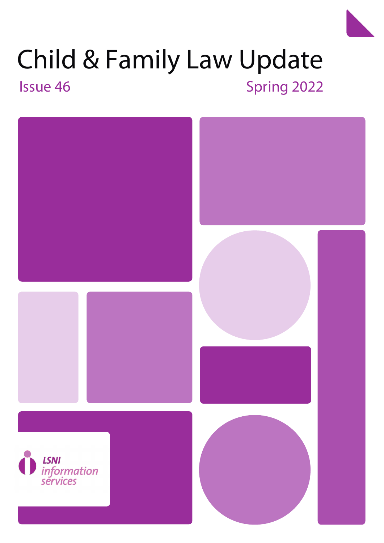# Child & Family Law Update Issue 46 November 2022





Child & Family Law Update 5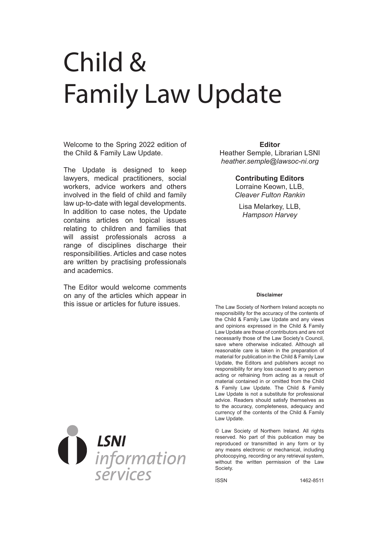# Child & Family Law Update

Welcome to the Spring 2022 edition of the Child & Family Law Update.

The Update is designed to keep lawyers, medical practitioners, social workers, advice workers and others involved in the field of child and family law up-to-date with legal developments. In addition to case notes, the Update contains articles on topical issues relating to children and families that will assist professionals across a range of disciplines discharge their responsibilities. Articles and case notes are written by practising professionals and academics.

The Editor would welcome comments on any of the articles which appear in this issue or articles for future issues.



Heather Semple, Librarian LSNI *heather.semple@lawsoc-ni.org*

#### **Contributing Editors**

Lorraine Keown, LLB, *Cleaver Fulton Rankin*

Lisa Melarkey, LLB, *Hampson Harvey*

#### **Disclaimer**

The Law Society of Northern Ireland accepts no responsibility for the accuracy of the contents of the Child & Family Law Update and any views and opinions expressed in the Child & Family Law Update are those of contributors and are not necessarily those of the Law Society's Council, save where otherwise indicated. Although all reasonable care is taken in the preparation of material for publication in the Child & Family Law Update, the Editors and publishers accept no responsibility for any loss caused to any person acting or refraining from acting as a result of material contained in or omitted from the Child & Family Law Update. The Child & Family Law Update is not a substitute for professional advice. Readers should satisfy themselves as to the accuracy, completeness, adequacy and currency of the contents of the Child & Family Law Update.

© Law Society of Northern Ireland. All rights reserved. No part of this publication may be reproduced or transmitted in any form or by any means electronic or mechanical, including photocopying, recording or any retrieval system, without the written permission of the Law Society.

ISSN 1462-8511

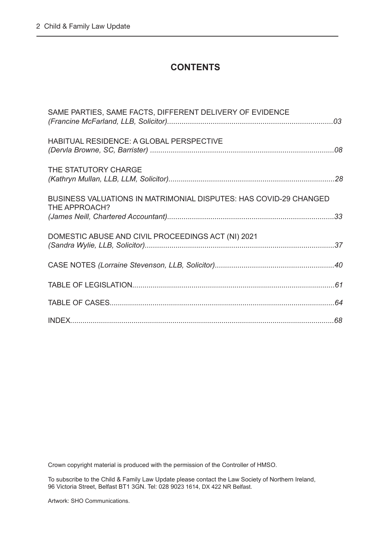## **CONTENTS**

| SAME PARTIES, SAME FACTS, DIFFERENT DELIVERY OF EVIDENCE                           |  |
|------------------------------------------------------------------------------------|--|
| <b>HABITUAL RESIDENCE: A GLOBAL PERSPECTIVE</b>                                    |  |
| THE STATUTORY CHARGE                                                               |  |
| BUSINESS VALUATIONS IN MATRIMONIAL DISPUTES: HAS COVID-29 CHANGED<br>THE APPROACH? |  |
| DOMESTIC ABUSE AND CIVIL PROCEEDINGS ACT (NI) 2021                                 |  |
|                                                                                    |  |
|                                                                                    |  |
|                                                                                    |  |
|                                                                                    |  |

Crown copyright material is produced with the permission of the Controller of HMSO.

To subscribe to the Child & Family Law Update please contact the Law Society of Northern Ireland, 96 Victoria Street, Belfast BT1 3GN. Tel: 028 9023 1614, DX 422 NR Belfast.

Artwork: SHO Communications.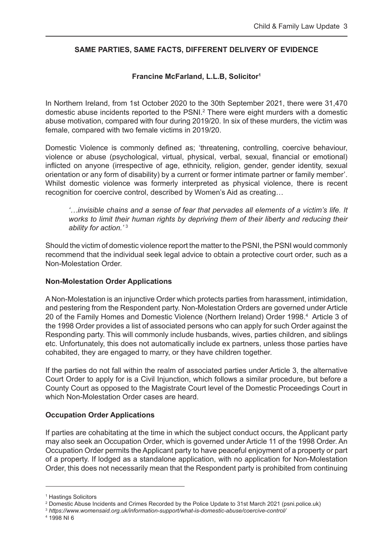#### <span id="page-3-0"></span>**SAME PARTIES, SAME FACTS, DIFFERENT DELIVERY OF EVIDENCE**

#### **Francine McFarland, L.L.B, Solicitor1**

In Northern Ireland, from 1st October 2020 to the 30th September 2021, there were 31,470 domestic abuse incidents reported to the PSNI.<sup>2</sup> There were eight murders with a domestic abuse motivation, compared with four during 2019/20. In six of these murders, the victim was female, compared with two female victims in 2019/20.

Domestic Violence is commonly defined as; 'threatening, controlling, coercive behaviour, violence or abuse (psychological, virtual, physical, verbal, sexual, financial or emotional) inflicted on anyone (irrespective of age, ethnicity, religion, gender, gender identity, sexual orientation or any form of disability) by a current or former intimate partner or family member'. Whilst domestic violence was formerly interpreted as physical violence, there is recent recognition for coercive control, described by Women's Aid as creating…

*'…invisible chains and a sense of fear that pervades all elements of a victim's life. It works to limit their human rights by depriving them of their liberty and reducing their ability for action.'* <sup>3</sup>

Should the victim of domestic violence report the matter to the PSNI, the PSNI would commonly recommend that the individual seek legal advice to obtain a protective court order, such as a Non-Molestation Order.

#### **Non-Molestation Order Applications**

A Non-Molestation is an injunctive Order which protects parties from harassment, intimidation, and pestering from the Respondent party. Non-Molestation Orders are governed under Article 20 of the Family Homes and Domestic Violence (Northern Ireland) Order 1998.<sup>4</sup> Article 3 of the 1998 Order provides a list of associated persons who can apply for such Order against the Responding party. This will commonly include husbands, wives, parties children, and siblings etc. Unfortunately, this does not automatically include ex partners, unless those parties have cohabited, they are engaged to marry, or they have children together.

If the parties do not fall within the realm of associated parties under Article 3, the alternative Court Order to apply for is a Civil Injunction, which follows a similar procedure, but before a County Court as opposed to the Magistrate Court level of the Domestic Proceedings Court in which Non-Molestation Order cases are heard.

#### **Occupation Order Applications**

If parties are cohabitating at the time in which the subject conduct occurs, the Applicant party may also seek an Occupation Order, which is governed under Article 11 of the 1998 Order. An Occupation Order permits the Applicant party to have peaceful enjoyment of a property or part of a property. If lodged as a standalone application, with no application for Non-Molestation Order, this does not necessarily mean that the Respondent party is prohibited from continuing

<sup>1</sup> Hastings Solicitors

<sup>2</sup>  [Domestic Abuse Incidents and Crimes Recorded by the Police Update to 31st March 2021 \(psni.police.uk\)](https://www.psni.police.uk/globalassets/inside-the-psni/our-statistics/domestic-abuse-statistics/2020-21/q4/domestic-abuse-bulletin-mar-_21.pdf) 

<sup>3</sup> *https://www.womensaid.org.uk/information-support/what-is-domestic-abuse/coercive-control/*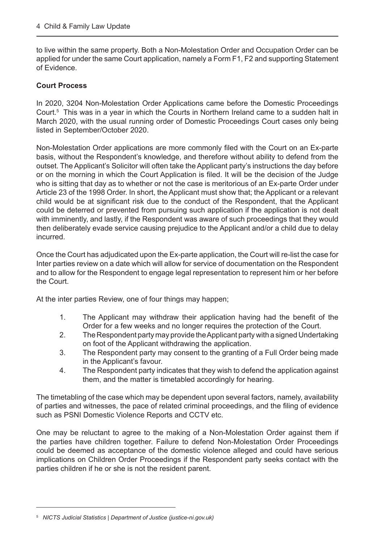to live within the same property. Both a Non-Molestation Order and Occupation Order can be applied for under the same Court application, namely a Form F1, F2 and supporting Statement of Evidence.

#### **Court Process**

In 2020, 3204 Non-Molestation Order Applications came before the Domestic Proceedings Court.5 This was in a year in which the Courts in Northern Ireland came to a sudden halt in March 2020, with the usual running order of Domestic Proceedings Court cases only being listed in September/October 2020.

Non-Molestation Order applications are more commonly filed with the Court on an Ex-parte basis, without the Respondent's knowledge, and therefore without ability to defend from the outset. The Applicant's Solicitor will often take the Applicant party's instructions the day before or on the morning in which the Court Application is filed. It will be the decision of the Judge who is sitting that day as to whether or not the case is meritorious of an Ex-parte Order under Article 23 of the 1998 Order. In short, the Applicant must show that; the Applicant or a relevant child would be at significant risk due to the conduct of the Respondent, that the Applicant could be deterred or prevented from pursuing such application if the application is not dealt with imminently, and lastly, if the Respondent was aware of such proceedings that they would then deliberately evade service causing prejudice to the Applicant and/or a child due to delay incurred.

Once the Court has adjudicated upon the Ex-parte application, the Court will re-list the case for Inter parties review on a date which will allow for service of documentation on the Respondent and to allow for the Respondent to engage legal representation to represent him or her before the Court.

At the inter parties Review, one of four things may happen;

- 1. The Applicant may withdraw their application having had the benefit of the Order for a few weeks and no longer requires the protection of the Court.
- 2. The Respondent party may provide the Applicant party with a signed Undertaking on foot of the Applicant withdrawing the application.
- 3. The Respondent party may consent to the granting of a Full Order being made in the Applicant's favour.
- 4. The Respondent party indicates that they wish to defend the application against them, and the matter is timetabled accordingly for hearing.

The timetabling of the case which may be dependent upon several factors, namely, availability of parties and witnesses, the pace of related criminal proceedings, and the filing of evidence such as PSNI Domestic Violence Reports and CCTV etc.

One may be reluctant to agree to the making of a Non-Molestation Order against them if the parties have children together. Failure to defend Non-Molestation Order Proceedings could be deemed as acceptance of the domestic violence alleged and could have serious implications on Children Order Proceedings if the Respondent party seeks contact with the parties children if he or she is not the resident parent.

<sup>5</sup> *[NICTS Judicial Statistics | Department of Justice \(justice-ni.gov.uk\)](https://www.justice-ni.gov.uk/publications/nicts-judicial-statistics)*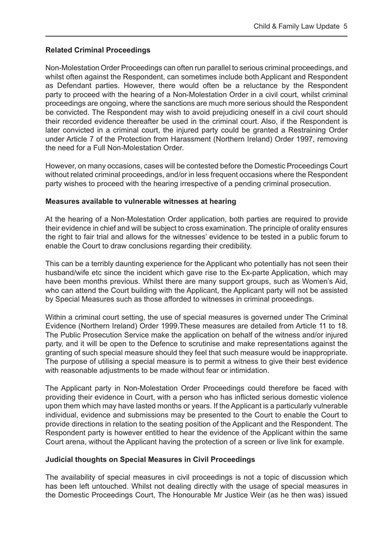#### **Related Criminal Proceedings**

Non-Molestation Order Proceedings can often run parallel to serious criminal proceedings, and whilst often against the Respondent, can sometimes include both Applicant and Respondent as Defendant parties. However, there would often be a reluctance by the Respondent party to proceed with the hearing of a Non-Molestation Order in a civil court, whilst criminal proceedings are ongoing, where the sanctions are much more serious should the Respondent be convicted. The Respondent may wish to avoid prejudicing oneself in a civil court should their recorded evidence thereafter be used in the criminal court. Also, if the Respondent is later convicted in a criminal court, the injured party could be granted a Restraining Order under Article 7 of the Protection from Harassment (Northern Ireland) Order 1997, removing the need for a Full Non-Molestation Order.

However, on many occasions, cases will be contested before the Domestic Proceedings Court without related criminal proceedings, and/or in less frequent occasions where the Respondent party wishes to proceed with the hearing irrespective of a pending criminal prosecution.

#### **Measures available to vulnerable witnesses at hearing**

At the hearing of a Non-Molestation Order application, both parties are required to provide their evidence in chief and will be subject to cross examination. The principle of orality ensures the right to fair trial and allows for the witnesses' evidence to be tested in a public forum to enable the Court to draw conclusions regarding their credibility.

This can be a terribly daunting experience for the Applicant who potentially has not seen their husband/wife etc since the incident which gave rise to the Ex-parte Application, which may have been months previous. Whilst there are many support groups, such as Women's Aid, who can attend the Court building with the Applicant, the Applicant party will not be assisted by Special Measures such as those afforded to witnesses in criminal proceedings.

Within a criminal court setting, the use of special measures is governed under The Criminal Evidence (Northern Ireland) Order 1999.These measures are detailed from Article 11 to 18. The Public Prosecution Service make the application on behalf of the witness and/or injured party, and it will be open to the Defence to scrutinise and make representations against the granting of such special measure should they feel that such measure would be inappropriate. The purpose of utilising a special measure is to permit a witness to give their best evidence with reasonable adjustments to be made without fear or intimidation.

The Applicant party in Non-Molestation Order Proceedings could therefore be faced with providing their evidence in Court, with a person who has inflicted serious domestic violence upon them which may have lasted months or years. If the Applicant is a particularly vulnerable individual, evidence and submissions may be presented to the Court to enable the Court to provide directions in relation to the seating position of the Applicant and the Respondent. The Respondent party is however entitled to hear the evidence of the Applicant within the same Court arena, without the Applicant having the protection of a screen or live link for example.

#### **Judicial thoughts on Special Measures in Civil Proceedings**

The availability of special measures in civil proceedings is not a topic of discussion which has been left untouched. Whilst not dealing directly with the usage of special measures in the Domestic Proceedings Court, The Honourable Mr Justice Weir (as he then was) issued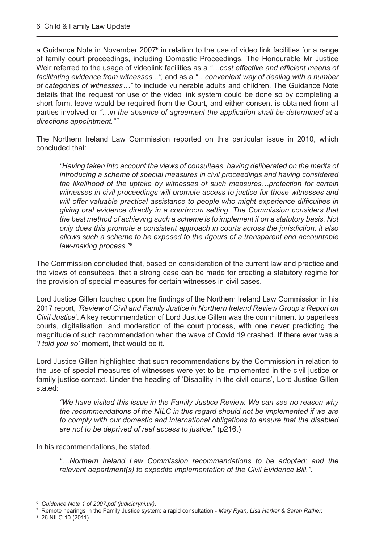a Guidance Note in November 2007<sup>6</sup> in relation to the use of video link facilities for a range of family court proceedings, including Domestic Proceedings. The Honourable Mr Justice Weir referred to the usage of videolink facilities as a *"…cost effective and efficient means of facilitating evidence from witnesses...",* and as a *"…convenient way of dealing with a number of categories of witnesses…"* to include vulnerable adults and children. The Guidance Note details that the request for use of the video link system could be done so by completing a short form, leave would be required from the Court, and either consent is obtained from all parties involved or *"…in the absence of agreement the application shall be determined at a directions appointment."* <sup>7</sup>

The Northern Ireland Law Commission reported on this particular issue in 2010, which concluded that:

*"Having taken into account the views of consultees, having deliberated on the merits of introducing a scheme of special measures in civil proceedings and having considered the likelihood of the uptake by witnesses of such measures…protection for certain witnesses in civil proceedings will promote access to justice for those witnesses and will offer valuable practical assistance to people who might experience difficulties in giving oral evidence directly in a courtroom setting. The Commission considers that the best method of achieving such a scheme is to implement it on a statutory basis. Not only does this promote a consistent approach in courts across the jurisdiction, it also allows such a scheme to be exposed to the rigours of a transparent and accountable law-making process."8* 

The Commission concluded that, based on consideration of the current law and practice and the views of consultees, that a strong case can be made for creating a statutory regime for the provision of special measures for certain witnesses in civil cases.

Lord Justice Gillen touched upon the findings of the Northern Ireland Law Commission in his 2017 report, *'Review of Civil and Family Justice in Northern Ireland Review Group's Report on Civil Justice'*. A key recommendation of Lord Justice Gillen was the commitment to paperless courts, digitalisation, and moderation of the court process, with one never predicting the magnitude of such recommendation when the wave of Covid 19 crashed. If there ever was a *'I told you so'* moment, that would be it.

Lord Justice Gillen highlighted that such recommendations by the Commission in relation to the use of special measures of witnesses were yet to be implemented in the civil justice or family justice context. Under the heading of 'Disability in the civil courts', Lord Justice Gillen stated:

*"We have visited this issue in the Family Justice Review. We can see no reason why the recommendations of the NILC in this regard should not be implemented if we are to comply with our domestic and international obligations to ensure that the disabled are not to be deprived of real access to justice.*" (p216.)

In his recommendations, he stated,

*"…Northern Ireland Law Commission recommendations to be adopted; and the relevant department(s) to expedite implementation of the Civil Evidence Bill.".*

<sup>6</sup> *[Guidance Note 1 of 2007.pdf \(judiciaryni.uk\)](https://www.judiciaryni.uk/sites/judiciary/files/decisions/Guidance%20Note%201%20of%202007.pdf)*.

<sup>7</sup> Remote hearings in the Family Justice system: a rapid consultation - *Mary Ryan, Lisa Harker & Sarah Rather.*

<sup>8</sup> 26 NILC 10 (2011)*.*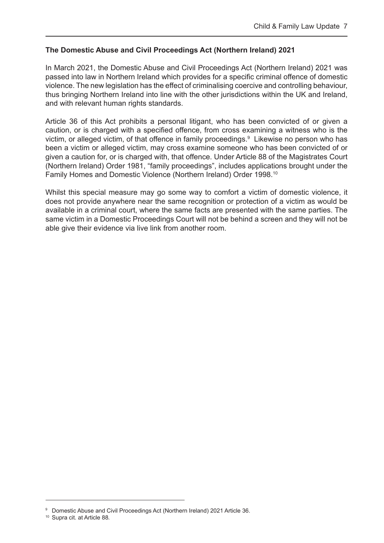#### **The Domestic Abuse and Civil Proceedings Act (Northern Ireland) 2021**

In March 2021, the Domestic Abuse and Civil Proceedings Act (Northern Ireland) 2021 was passed into law in Northern Ireland which provides for a specific criminal offence of domestic violence. The new legislation has the effect of criminalising coercive and controlling behaviour, thus bringing Northern Ireland into line with the other jurisdictions within the UK and Ireland, and with relevant human rights standards.

Article 36 of this Act prohibits a personal litigant, who has been convicted of or given a caution, or is charged with a specified offence, from cross examining a witness who is the victim, or alleged victim, of that offence in family proceedings.<sup>9</sup> Likewise no person who has been a victim or alleged victim, may cross examine someone who has been convicted of or given a caution for, or is charged with, that offence. Under Article 88 of the Magistrates Court (Northern Ireland) Order 1981, "family proceedings", includes applications brought under the Family Homes and Domestic Violence (Northern Ireland) Order 1998.10

Whilst this special measure may go some way to comfort a victim of domestic violence, it does not provide anywhere near the same recognition or protection of a victim as would be available in a criminal court, where the same facts are presented with the same parties. The same victim in a Domestic Proceedings Court will not be behind a screen and they will not be able give their evidence via live link from another room.

<sup>9</sup> Domestic Abuse and Civil Proceedings Act (Northern Ireland) 2021 Article 36.

<sup>10</sup> Supra cit. at Article 88*.*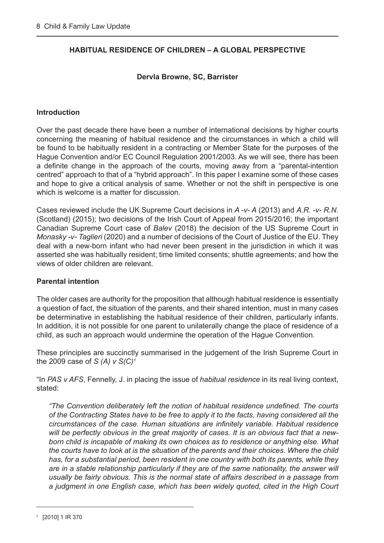#### <span id="page-8-0"></span>**HABITUAL RESIDENCE OF CHILDREN – A GLOBAL PERSPECTIVE**

#### **Dervla Browne, SC, Barrister**

#### **Introduction**

Over the past decade there have been a number of international decisions by higher courts concerning the meaning of habitual residence and the circumstances in which a child will be found to be habitually resident in a contracting or Member State for the purposes of the Hague Convention and/or EC Council Regulation 2001/2003. As we will see, there has been a definite change in the approach of the courts, moving away from a "parental-intention centred" approach to that of a "hybrid approach". In this paper I examine some of these cases and hope to give a critical analysis of same. Whether or not the shift in perspective is one which is welcome is a matter for discussion.

Cases reviewed include the UK Supreme Court decisions in *A -v- A* (2013) and *A.R. -v- R.N*. (Scotland) (2015); two decisions of the Irish Court of Appeal from 2015/2016; the important Canadian Supreme Court case of *Balev* (2018) the decision of the US Supreme Court in *Monasky -v- Taglieri* (2020) and a number of decisions of the Court of Justice of the EU. They deal with a new-born infant who had never been present in the jurisdiction in which it was asserted she was habitually resident; time limited consents; shuttle agreements; and how the views of older children are relevant.

#### **Parental intention**

The older cases are authority for the proposition that although habitual residence is essentially a question of fact, the situation of the parents, and their shared intention, must in many cases be determinative in establishing the habitual residence of their children, particularly infants. In addition, it is not possible for one parent to unilaterally change the place of residence of a child, as such an approach would undermine the operation of the Hague Convention.

These principles are succinctly summarised in the judgement of the Irish Supreme Court in the 2009 case of *S (A) v S(C)1*

"In *PAS v AFS*, Fennelly, J. in placing the issue of *habitual residence* in its real living context, stated:

*"The Convention deliberately left the notion of habitual residence undefined. The courts of the Contracting States have to be free to apply it to the facts, having considered all the circumstances of the case. Human situations are infinitely variable. Habitual residence will be perfectly obvious in the great majority of cases. It is an obvious fact that a newborn child is incapable of making its own choices as to residence or anything else. What the courts have to look at is the situation of the parents and their choices. Where the child has, for a substantial period, been resident in one country with both its parents, while they are in a stable relationship particularly if they are of the same nationality, the answer will usually be fairly obvious. This is the normal state of affairs described in a passage from a judgment in one English case, which has been widely quoted, cited in the High Court*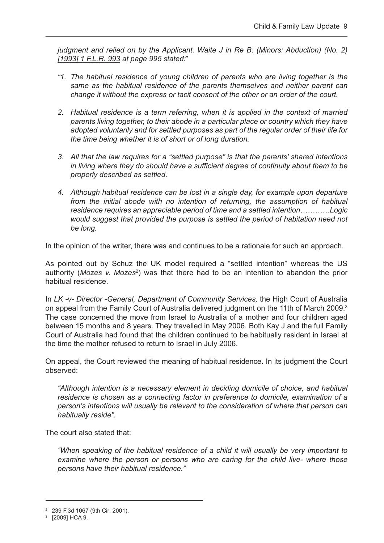*judgment and relied on by the Applicant. Waite J in Re B: (Minors: Abduction) (No. 2) [1993] 1 F.L.R. 993 at page 995 stated:*"

- *"1. The habitual residence of young children of parents who are living together is the same as the habitual residence of the parents themselves and neither parent can change it without the express or tacit consent of the other or an order of the court.*
- *2. Habitual residence is a term referring, when it is applied in the context of married parents living together, to their abode in a particular place or country which they have adopted voluntarily and for settled purposes as part of the regular order of their life for the time being whether it is of short or of long duration.*
- *3. All that the law requires for a "settled purpose" is that the parents' shared intentions in living where they do should have a sufficient degree of continuity about them to be properly described as settled.*
- *4. Although habitual residence can be lost in a single day, for example upon departure from the initial abode with no intention of returning, the assumption of habitual residence requires an appreciable period of time and a settled intention…………Logic would suggest that provided the purpose is settled the period of habitation need not be long.*

In the opinion of the writer, there was and continues to be a rationale for such an approach.

As pointed out by Schuz the UK model required a "settled intention" whereas the US authority (*Mozes v. Mozes<sup>2</sup>*) was that there had to be an intention to abandon the prior habitual residence.

In *LK -v- Director -General, Department of Community Services,* the High Court of Australia on appeal from the Family Court of Australia delivered judgment on the 11th of March 2009.3 The case concerned the move from Israel to Australia of a mother and four children aged between 15 months and 8 years. They travelled in May 2006. Both Kay J and the full Family Court of Australia had found that the children continued to be habitually resident in Israel at the time the mother refused to return to Israel in July 2006.

On appeal, the Court reviewed the meaning of habitual residence. In its judgment the Court observed:

*"Although intention is a necessary element in deciding domicile of choice, and habitual residence is chosen as a connecting factor in preference to domicile, examination of a person's intentions will usually be relevant to the consideration of where that person can habitually reside".*

The court also stated that:

*"When speaking of the habitual residence of a child it will usually be very important to examine where the person or persons who are caring for the child live- where those persons have their habitual residence."*

<sup>2</sup> 239 F.3d 1067 (9th Cir. 2001).

<sup>3</sup> [2009] HCA 9.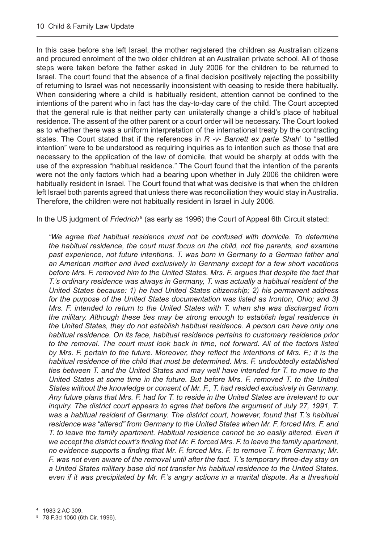In this case before she left Israel, the mother registered the children as Australian citizens and procured enrolment of the two older children at an Australian private school. All of those steps were taken before the father asked in July 2006 for the children to be returned to Israel. The court found that the absence of a final decision positively rejecting the possibility of returning to Israel was not necessarily inconsistent with ceasing to reside there habitually. When considering where a child is habitually resident, attention cannot be confined to the intentions of the parent who in fact has the day-to-day care of the child. The Court accepted that the general rule is that neither party can unilaterally change a child's place of habitual residence. The assent of the other parent or a court order will be necessary. The Court looked as to whether there was a uniform interpretation of the international treaty by the contracting states. The Court stated that if the references in *R -v- Barnett ex parte Shah*<sup>4</sup> to "settled intention" were to be understood as requiring inquiries as to intention such as those that are necessary to the application of the law of domicile, that would be sharply at odds with the use of the expression "habitual residence." The Court found that the intention of the parents were not the only factors which had a bearing upon whether in July 2006 the children were habitually resident in Israel. The Court found that what was decisive is that when the children left Israel both parents agreed that unless there was reconciliation they would stay in Australia. Therefore, the children were not habitually resident in Israel in July 2006.

In the US judgment of *Friedrich*<sup>5</sup> (as early as 1996) the Court of Appeal 6th Circuit stated:

*"We agree that habitual residence must not be confused with domicile. To determine the habitual residence, the court must focus on the child, not the parents, and examine past experience, not future intentions. T. was born in Germany to a German father and an American mother and lived exclusively in Germany except for a few short vacations before Mrs. F. removed him to the United States. Mrs. F. argues that despite the fact that T.'s ordinary residence was always in Germany, T. was actually a habitual resident of the United States because: 1) he had United States citizenship; 2) his permanent address for the purpose of the United States documentation was listed as Ironton, Ohio; and 3) Mrs. F. intended to return to the United States with T. when she was discharged from the military. Although these ties may be strong enough to establish legal residence in the United States, they do not establish habitual residence. A person can have only one habitual residence. On its face, habitual residence pertains to customary residence prior to the removal. The court must look back in time, not forward. All of the factors listed by Mrs. F. pertain to the future. Moreover, they reflect the intentions of Mrs. F.; it is the habitual residence of the child that must be determined. Mrs. F. undoubtedly established ties between T. and the United States and may well have intended for T. to move to the United States at some time in the future. But before Mrs. F. removed T. to the United States without the knowledge or consent of Mr. F., T. had resided exclusively in Germany. Any future plans that Mrs. F. had for T. to reside in the United States are irrelevant to our*  inquiry. The district court appears to agree that before the argument of July 27, 1991, T. *was a habitual resident of Germany. The district court, however, found that T.'s habitual residence was "altered" from Germany to the United States when Mr. F. forced Mrs. F. and T. to leave the family apartment. Habitual residence cannot be so easily altered. Even if we accept the district court's finding that Mr. F. forced Mrs. F. to leave the family apartment, no evidence supports a finding that Mr. F. forced Mrs. F. to remove T. from Germany; Mr. F. was not even aware of the removal until after the fact. T.'s temporary three-day stay on a United States military base did not transfer his habitual residence to the United States, even if it was precipitated by Mr. F.'s angry actions in a marital dispute. As a threshold*

<sup>4</sup> 1983 2 AC 309.

<sup>5</sup> 78 F.3d 1060 (6th Cir. 1996).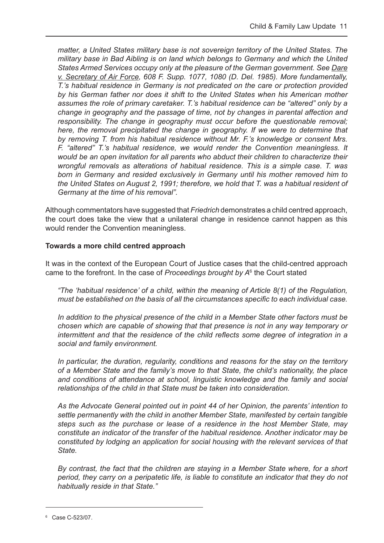*matter, a United States military base is not sovereign territory of the United States. The military base in Bad Aibling is on land which belongs to Germany and which the United States Armed Services occupy only at the pleasure of the German government. See Dare v. Secretary of Air Force, 608 F. Supp. 1077, 1080 (D. Del. 1985). More fundamentally, T.'s habitual residence in Germany is not predicated on the care or protection provided by his German father nor does it shift to the United States when his American mother assumes the role of primary caretaker. T.'s habitual residence can be "altered" only by a change in geography and the passage of time, not by changes in parental affection and responsibility. The change in geography must occur before the questionable removal; here, the removal precipitated the change in geography. If we were to determine that by removing T. from his habitual residence without Mr. F.'s knowledge or consent Mrs. F. "altered" T.'s habitual residence, we would render the Convention meaningless. It would be an open invitation for all parents who abduct their children to characterize their wrongful removals as alterations of habitual residence. This is a simple case. T. was born in Germany and resided exclusively in Germany until his mother removed him to the United States on August 2, 1991; therefore, we hold that T. was a habitual resident of Germany at the time of his removal".*

Although commentators have suggested that *Friedrich* demonstrates a child centred approach, the court does take the view that a unilateral change in residence cannot happen as this would render the Convention meaningless.

#### **Towards a more child centred approach**

It was in the context of the European Court of Justice cases that the child-centred approach came to the forefront. In the case of *Proceedings brought by A*<sup>6</sup> the Court stated

 *"The 'habitual residence' of a child, within the meaning of Article 8(1) of the Regulation, must be established on the basis of all the circumstances specific to each individual case.*

 *In addition to the physical presence of the child in a Member State other factors must be chosen which are capable of showing that that presence is not in any way temporary or intermittent and that the residence of the child reflects some degree of integration in a social and family environment.*

 *In particular, the duration, regularity, conditions and reasons for the stay on the territory of a Member State and the family's move to that State, the child's nationality, the place and conditions of attendance at school, linguistic knowledge and the family and social relationships of the child in that State must be taken into consideration.*

 *As the Advocate General pointed out in point 44 of her Opinion, the parents' intention to settle permanently with the child in another Member State, manifested by certain tangible steps such as the purchase or lease of a residence in the host Member State, may constitute an indicator of the transfer of the habitual residence. Another indicator may be constituted by lodging an application for social housing with the relevant services of that State.*

 *By contrast, the fact that the children are staying in a Member State where, for a short period, they carry on a peripatetic life, is liable to constitute an indicator that they do not habitually reside in that State."*

<sup>6</sup> Case C-523/07.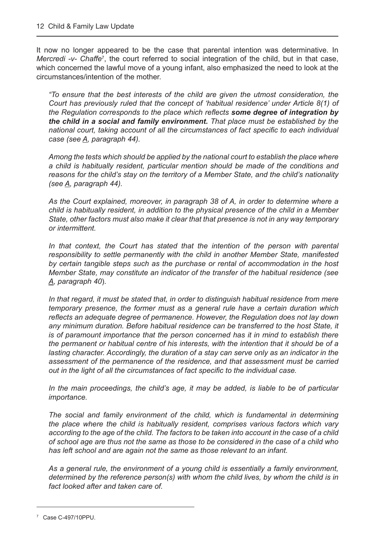It now no longer appeared to be the case that parental intention was determinative. In Mercredi -v- Chaffe<sup>7</sup>, the court referred to social integration of the child, but in that case, which concerned the lawful move of a young infant, also emphasized the need to look at the circumstances/intention of the mother.

*"To ensure that the best interests of the child are given the utmost consideration, the Court has previously ruled that the concept of 'habitual residence' under Article 8(1) of the Regulation corresponds to the place which reflects some degree of integration by the child in a social and family environment. That place must be established by the national court, taking account of all the circumstances of fact specific to each individual case (see A, paragraph 44).*

*Among the tests which should be applied by the national court to establish the place where a child is habitually resident, particular mention should be made of the conditions and reasons for the child's stay on the territory of a Member State, and the child's nationality (see A, paragraph 44).*

*As the Court explained, moreover, in paragraph 38 of A, in order to determine where a child is habitually resident, in addition to the physical presence of the child in a Member State, other factors must also make it clear that that presence is not in any way temporary or intermittent.*

*In that context, the Court has stated that the intention of the person with parental responsibility to settle permanently with the child in another Member State, manifested by certain tangible steps such as the purchase or rental of accommodation in the host Member State, may constitute an indicator of the transfer of the habitual residence (see A, paragraph 40*).

*In that regard, it must be stated that, in order to distinguish habitual residence from mere temporary presence, the former must as a general rule have a certain duration which reflects an adequate degree of permanence. However, the Regulation does not lay down any minimum duration. Before habitual residence can be transferred to the host State, it is of paramount importance that the person concerned has it in mind to establish there the permanent or habitual centre of his interests, with the intention that it should be of a lasting character. Accordingly, the duration of a stay can serve only as an indicator in the assessment of the permanence of the residence, and that assessment must be carried out in the light of all the circumstances of fact specific to the individual case.*

*In the main proceedings, the child's age, it may be added, is liable to be of particular importance.*

*The social and family environment of the child, which is fundamental in determining the place where the child is habitually resident, comprises various factors which vary according to the age of the child. The factors to be taken into account in the case of a child of school age are thus not the same as those to be considered in the case of a child who has left school and are again not the same as those relevant to an infant.*

*As a general rule, the environment of a young child is essentially a family environment, determined by the reference person(s) with whom the child lives, by whom the child is in fact looked after and taken care of.*

<sup>7</sup> Case C-497/10PPU.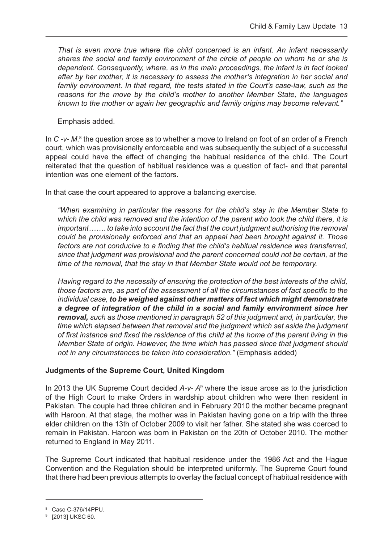*That is even more true where the child concerned is an infant. An infant necessarily shares the social and family environment of the circle of people on whom he or she is dependent. Consequently, where, as in the main proceedings, the infant is in fact looked after by her mother, it is necessary to assess the mother's integration in her social and family environment. In that regard, the tests stated in the Court's case-law, such as the reasons for the move by the child's mother to another Member State, the languages known to the mother or again her geographic and family origins may become relevant."*

Emphasis added.

In C -v- M.<sup>8</sup> the question arose as to whether a move to Ireland on foot of an order of a French court, which was provisionally enforceable and was subsequently the subject of a successful appeal could have the effect of changing the habitual residence of the child. The Court reiterated that the question of habitual residence was a question of fact- and that parental intention was one element of the factors.

In that case the court appeared to approve a balancing exercise.

*"When examining in particular the reasons for the child's stay in the Member State to which the child was removed and the intention of the parent who took the child there, it is important……. to take into account the fact that the court judgment authorising the removal could be provisionally enforced and that an appeal had been brought against it. Those*  factors are not conducive to a finding that the child's habitual residence was transferred, *since that judgment was provisional and the parent concerned could not be certain, at the time of the removal, that the stay in that Member State would not be temporary.*

 *Having regard to the necessity of ensuring the protection of the best interests of the child, those factors are, as part of the assessment of all the circumstances of fact specific to the individual case, to be weighed against other matters of fact which might demonstrate a degree of integration of the child in a social and family environment since her removal, such as those mentioned in paragraph 52 of this judgment and, in particular, the time which elapsed between that removal and the judgment which set aside the judgment of first instance and fixed the residence of the child at the home of the parent living in the Member State of origin. However, the time which has passed since that judgment should not in any circumstances be taken into consideration."* (Emphasis added)

#### **Judgments of the Supreme Court, United Kingdom**

In 2013 the UK Supreme Court decided A-v- A<sup>9</sup> where the issue arose as to the jurisdiction of the High Court to make Orders in wardship about children who were then resident in Pakistan. The couple had three children and in February 2010 the mother became pregnant with Haroon. At that stage, the mother was in Pakistan having gone on a trip with the three elder children on the 13th of October 2009 to visit her father. She stated she was coerced to remain in Pakistan. Haroon was born in Pakistan on the 20th of October 2010. The mother returned to England in May 2011.

The Supreme Court indicated that habitual residence under the 1986 Act and the Hague Convention and the Regulation should be interpreted uniformly. The Supreme Court found that there had been previous attempts to overlay the factual concept of habitual residence with

<sup>8</sup> Case C-376/14PPU.<br>9 r20131TIKSC 60.

<sup>&</sup>lt;sup>9</sup> [2013] UKSC 60.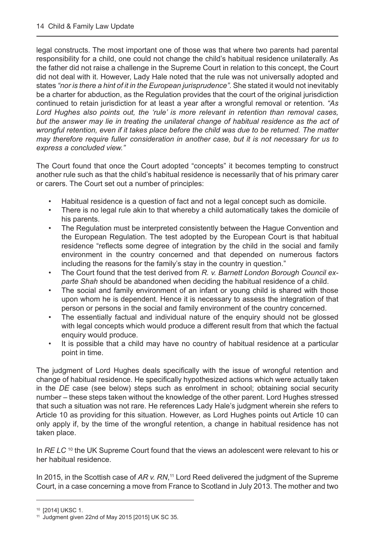legal constructs. The most important one of those was that where two parents had parental responsibility for a child, one could not change the child's habitual residence unilaterally. As the father did not raise a challenge in the Supreme Court in relation to this concept, the Court did not deal with it. However, Lady Hale noted that the rule was not universally adopted and states *"nor is there a hint of it in the European jurisprudence".* She stated it would not inevitably be a charter for abduction, as the Regulation provides that the court of the original jurisdiction continued to retain jurisdiction for at least a year after a wrongful removal or retention. *"As Lord Hughes also points out, the 'rule' is more relevant in retention than removal cases,*  but the answer may lie in treating the unilateral change of habitual residence as the act of *wrongful retention, even if it takes place before the child was due to be returned. The matter may therefore require fuller consideration in another case, but it is not necessary for us to express a concluded view."*

The Court found that once the Court adopted "concepts" it becomes tempting to construct another rule such as that the child's habitual residence is necessarily that of his primary carer or carers. The Court set out a number of principles:

- Habitual residence is a question of fact and not a legal concept such as domicile.
- There is no legal rule akin to that whereby a child automatically takes the domicile of his parents.
- The Regulation must be interpreted consistently between the Hague Convention and the European Regulation. The test adopted by the European Court is that habitual residence "reflects some degree of integration by the child in the social and family environment in the country concerned and that depended on numerous factors including the reasons for the family's stay in the country in question."
- The Court found that the test derived from *R. v. Barnett London Borough Council exparte Shah* should be abandoned when deciding the habitual residence of a child.
- The social and family environment of an infant or young child is shared with those upon whom he is dependent. Hence it is necessary to assess the integration of that person or persons in the social and family environment of the country concerned.
- The essentially factual and individual nature of the enquiry should not be glossed with legal concepts which would produce a different result from that which the factual enquiry would produce.
- It is possible that a child may have no country of habitual residence at a particular point in time.

The judgment of Lord Hughes deals specifically with the issue of wrongful retention and change of habitual residence. He specifically hypothesized actions which were actually taken in the *DE* case (see below) steps such as enrolment in school; obtaining social security number – these steps taken without the knowledge of the other parent. Lord Hughes stressed that such a situation was not rare. He references Lady Hale's judgment wherein she refers to Article 10 as providing for this situation. However, as Lord Hughes points out Article 10 can only apply if, by the time of the wrongful retention, a change in habitual residence has not taken place.

In *RE LC* <sup>10</sup> the UK Supreme Court found that the views an adolescent were relevant to his or her habitual residence.

In 2015, in the Scottish case of *AR v. RN*, 11 Lord Reed delivered the judgment of the Supreme Court, in a case concerning a move from France to Scotland in July 2013. The mother and two

<sup>10 [2014]</sup> UKSC 1.

 $11$  Judgment given 22nd of May 2015 [2015] UK SC 35.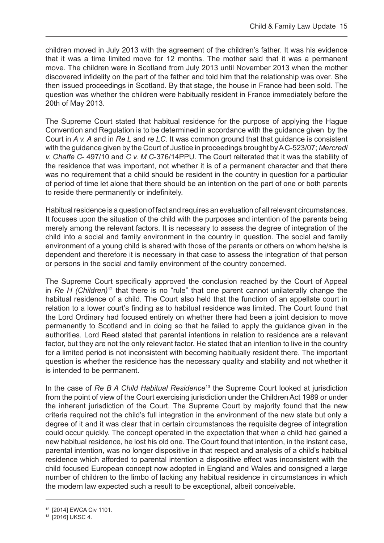children moved in July 2013 with the agreement of the children's father. It was his evidence that it was a time limited move for 12 months. The mother said that it was a permanent move. The children were in Scotland from July 2013 until November 2013 when the mother discovered infidelity on the part of the father and told him that the relationship was over. She then issued proceedings in Scotland. By that stage, the house in France had been sold. The question was whether the children were habitually resident in France immediately before the 20th of May 2013.

The Supreme Court stated that habitual residence for the purpose of applying the Hague Convention and Regulation is to be determined in accordance with the guidance given by the Court in *A v. A* and in *Re L* and *re LC.* It was common ground that that guidance is consistent with the guidance given by the Court of Justice in proceedings brought by A C-523/07; *Mercredi v. Chaffe C*- 497/10 and *C v. M C*-376/14PPU. The Court reiterated that it was the stability of the residence that was important, not whether it is of a permanent character and that there was no requirement that a child should be resident in the country in question for a particular of period of time let alone that there should be an intention on the part of one or both parents to reside there permanently or indefinitely.

Habitual residence is a question of fact and requires an evaluation of all relevant circumstances. It focuses upon the situation of the child with the purposes and intention of the parents being merely among the relevant factors. It is necessary to assess the degree of integration of the child into a social and family environment in the country in question. The social and family environment of a young child is shared with those of the parents or others on whom he/she is dependent and therefore it is necessary in that case to assess the integration of that person or persons in the social and family environment of the country concerned.

The Supreme Court specifically approved the conclusion reached by the Court of Appeal in *Re H (Children)*12 that there is no "rule" that one parent cannot unilaterally change the habitual residence of a child. The Court also held that the function of an appellate court in relation to a lower court's finding as to habitual residence was limited. The Court found that the Lord Ordinary had focused entirely on whether there had been a joint decision to move permanently to Scotland and in doing so that he failed to apply the guidance given in the authorities. Lord Reed stated that parental intentions in relation to residence are a relevant factor, but they are not the only relevant factor. He stated that an intention to live in the country for a limited period is not inconsistent with becoming habitually resident there. The important question is whether the residence has the necessary quality and stability and not whether it is intended to be permanent.

In the case of *Re B A Child Habitual Residence*13 the Supreme Court looked at jurisdiction from the point of view of the Court exercising jurisdiction under the Children Act 1989 or under the inherent jurisdiction of the Court. The Supreme Court by majority found that the new criteria required not the child's full integration in the environment of the new state but only a degree of it and it was clear that in certain circumstances the requisite degree of integration could occur quickly. The concept operated in the expectation that when a child had gained a new habitual residence, he lost his old one. The Court found that intention, in the instant case, parental intention, was no longer dispositive in that respect and analysis of a child's habitual residence which afforded to parental intention a dispositive effect was inconsistent with the child focused European concept now adopted in England and Wales and consigned a large number of children to the limbo of lacking any habitual residence in circumstances in which the modern law expected such a result to be exceptional, albeit conceivable.

<sup>12</sup> [2014] EWCA Civ 1101.

<sup>13</sup> [2016] UKSC 4.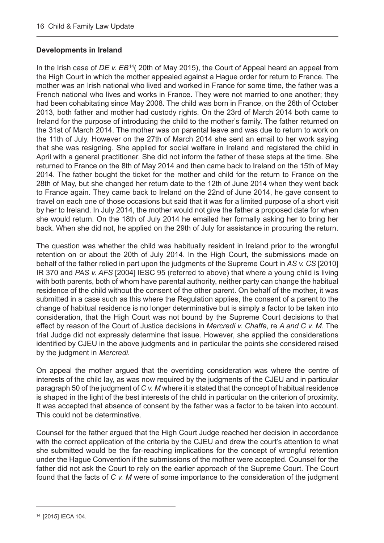#### **Developments in Ireland**

In the Irish case of *DE v. EB*<sup>14</sup> (20th of May 2015), the Court of Appeal heard an appeal from the High Court in which the mother appealed against a Hague order for return to France. The mother was an Irish national who lived and worked in France for some time, the father was a French national who lives and works in France. They were not married to one another; they had been cohabitating since May 2008. The child was born in France, on the 26th of October 2013, both father and mother had custody rights. On the 23rd of March 2014 both came to Ireland for the purpose of introducing the child to the mother's family. The father returned on the 31st of March 2014. The mother was on parental leave and was due to return to work on the 11th of July. However on the 27th of March 2014 she sent an email to her work saying that she was resigning. She applied for social welfare in Ireland and registered the child in April with a general practitioner. She did not inform the father of these steps at the time. She returned to France on the 8th of May 2014 and then came back to Ireland on the 15th of May 2014. The father bought the ticket for the mother and child for the return to France on the 28th of May, but she changed her return date to the 12th of June 2014 when they went back to France again. They came back to Ireland on the 22nd of June 2014, he gave consent to travel on each one of those occasions but said that it was for a limited purpose of a short visit by her to Ireland. In July 2014, the mother would not give the father a proposed date for when she would return. On the 18th of July 2014 he emailed her formally asking her to bring her back. When she did not, he applied on the 29th of July for assistance in procuring the return.

The question was whether the child was habitually resident in Ireland prior to the wrongful retention on or about the 20th of July 2014. In the High Court, the submissions made on behalf of the father relied in part upon the judgments of the Supreme Court in *AS v. CS* [2010] IR 370 and *PAS v. AFS* [2004] IESC 95 (referred to above) that where a young child is living with both parents, both of whom have parental authority, neither party can change the habitual residence of the child without the consent of the other parent. On behalf of the mother, it was submitted in a case such as this where the Regulation applies, the consent of a parent to the change of habitual residence is no longer determinative but is simply a factor to be taken into consideration, that the High Court was not bound by the Supreme Court decisions to that effect by reason of the Court of Justice decisions in *Mercredi v. Chaffe*, re *A and C v. M*. The trial Judge did not expressly determine that issue. However, she applied the considerations identified by CJEU in the above judgments and in particular the points she considered raised by the judgment in *Mercredi*.

On appeal the mother argued that the overriding consideration was where the centre of interests of the child lay, as was now required by the judgments of the CJEU and in particular paragraph 50 of the judgment of *C v. M* where it is stated that the concept of habitual residence is shaped in the light of the best interests of the child in particular on the criterion of proximity. It was accepted that absence of consent by the father was a factor to be taken into account. This could not be determinative.

Counsel for the father argued that the High Court Judge reached her decision in accordance with the correct application of the criteria by the CJEU and drew the court's attention to what she submitted would be the far-reaching implications for the concept of wrongful retention under the Hague Convention if the submissions of the mother were accepted. Counsel for the father did not ask the Court to rely on the earlier approach of the Supreme Court. The Court found that the facts of *C v. M* were of some importance to the consideration of the judgment

<sup>14</sup> [2015] IECA 104.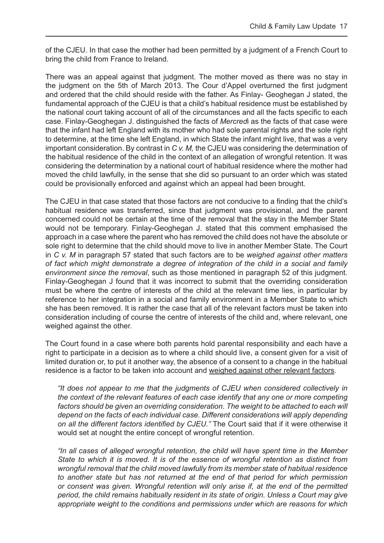of the CJEU. In that case the mother had been permitted by a judgment of a French Court to bring the child from France to Ireland.

There was an appeal against that judgment. The mother moved as there was no stay in the judgment on the 5th of March 2013. The Cour d'Appel overturned the first judgment and ordered that the child should reside with the father. As Finlay- Geoghegan J stated, the fundamental approach of the CJEU is that a child's habitual residence must be established by the national court taking account of all of the circumstances and all the facts specific to each case. Finlay-Geoghegan J. distinguished the facts of *Mercred*i as the facts of that case were that the infant had left England with its mother who had sole parental rights and the sole right to determine, at the time she left England, in which State the infant might live, that was a very important consideration. By contrast in *C v. M,* the CJEU was considering the determination of the habitual residence of the child in the context of an allegation of wrongful retention. It was considering the determination by a national court of habitual residence where the mother had moved the child lawfully, in the sense that she did so pursuant to an order which was stated could be provisionally enforced and against which an appeal had been brought.

The CJEU in that case stated that those factors are not conducive to a finding that the child's habitual residence was transferred, since that judgment was provisional, and the parent concerned could not be certain at the time of the removal that the stay in the Member State would not be temporary. Finlay-Geoghegan J. stated that this comment emphasised the approach in a case where the parent who has removed the child does not have the absolute or sole right to determine that the child should move to live in another Member State. The Court in *C v. M* in paragraph 57 stated that such factors are to be *weighed against other matters of fact which might demonstrate a degree of integration of the child in a social and family environment since the removal*, such as those mentioned in paragraph 52 of this judgment. Finlay-Geoghegan J found that it was incorrect to submit that the overriding consideration must be where the centre of interests of the child at the relevant time lies, in particular by reference to her integration in a social and family environment in a Member State to which she has been removed. It is rather the case that all of the relevant factors must be taken into consideration including of course the centre of interests of the child and, where relevant, one weighed against the other.

The Court found in a case where both parents hold parental responsibility and each have a right to participate in a decision as to where a child should live, a consent given for a visit of limited duration or, to put it another way, the absence of a consent to a change in the habitual residence is a factor to be taken into account and weighed against other relevant factors.

*"It does not appear to me that the judgments of CJEU when considered collectively in the context of the relevant features of each case identify that any one or more competing*  factors should be given an overriding consideration. The weight to be attached to each will *depend on the facts of each individual case. Different considerations will apply depending on all the different factors identified by CJEU."* The Court said that if it were otherwise it would set at nought the entire concept of wrongful retention.

*"In all cases of alleged wrongful retention, the child will have spent time in the Member State to which it is moved. It is of the essence of wrongful retention as distinct from wrongful removal that the child moved lawfully from its member state of habitual residence to another state but has not returned at the end of that period for which permission or consent was given. Wrongful retention will only arise if, at the end of the permitted period, the child remains habitually resident in its state of origin. Unless a Court may give appropriate weight to the conditions and permissions under which are reasons for which*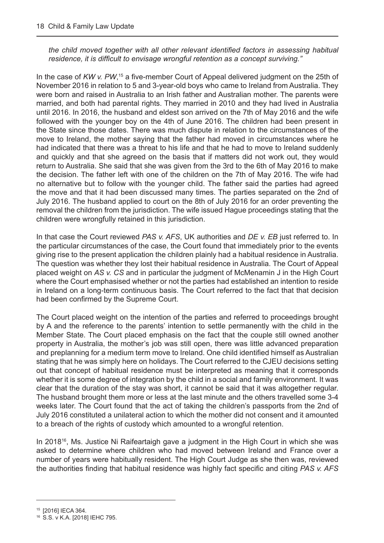*the child moved together with all other relevant identified factors in assessing habitual residence, it is difficult to envisage wrongful retention as a concept surviving."*

In the case of KW v. PW,<sup>15</sup> a five-member Court of Appeal delivered judgment on the 25th of November 2016 in relation to 5 and 3-year-old boys who came to Ireland from Australia. They were born and raised in Australia to an Irish father and Australian mother. The parents were married, and both had parental rights. They married in 2010 and they had lived in Australia until 2016. In 2016, the husband and eldest son arrived on the 7th of May 2016 and the wife followed with the younger boy on the 4th of June 2016. The children had been present in the State since those dates. There was much dispute in relation to the circumstances of the move to Ireland, the mother saying that the father had moved in circumstances where he had indicated that there was a threat to his life and that he had to move to Ireland suddenly and quickly and that she agreed on the basis that if matters did not work out, they would return to Australia. She said that she was given from the 3rd to the 6th of May 2016 to make the decision. The father left with one of the children on the 7th of May 2016. The wife had no alternative but to follow with the younger child. The father said the parties had agreed the move and that it had been discussed many times. The parties separated on the 2nd of July 2016. The husband applied to court on the 8th of July 2016 for an order preventing the removal the children from the jurisdiction. The wife issued Hague proceedings stating that the children were wrongfully retained in this jurisdiction.

In that case the Court reviewed *PAS v. AFS*, UK authorities and *DE v. EB* just referred to. In the particular circumstances of the case, the Court found that immediately prior to the events giving rise to the present application the children plainly had a habitual residence in Australia. The question was whether they lost their habitual residence in Australia. The Court of Appeal placed weight on *AS v. CS* and in particular the judgment of McMenamin J in the High Court where the Court emphasised whether or not the parties had established an intention to reside in Ireland on a long-term continuous basis. The Court referred to the fact that that decision had been confirmed by the Supreme Court.

The Court placed weight on the intention of the parties and referred to proceedings brought by A and the reference to the parents' intention to settle permanently with the child in the Member State. The Court placed emphasis on the fact that the couple still owned another property in Australia, the mother's job was still open, there was little advanced preparation and preplanning for a medium term move to Ireland. One child identified himself as Australian stating that he was simply here on holidays. The Court referred to the CJEU decisions setting out that concept of habitual residence must be interpreted as meaning that it corresponds whether it is some degree of integration by the child in a social and family environment. It was clear that the duration of the stay was short, it cannot be said that it was altogether regular. The husband brought them more or less at the last minute and the others travelled some 3-4 weeks later. The Court found that the act of taking the children's passports from the 2nd of July 2016 constituted a unilateral action to which the mother did not consent and it amounted to a breach of the rights of custody which amounted to a wrongful retention.

In 2018<sup>16</sup>, Ms. Justice Ni Raifeartaigh gave a judgment in the High Court in which she was asked to determine where children who had moved between Ireland and France over a number of years were habitually resident. The High Court Judge as she then was, reviewed the authorities finding that habitual residence was highly fact specific and citing *PAS v. AFS* 

<sup>15</sup> [2016] IECA 364.

<sup>16</sup> S.S. v K.A. [2018] IEHC 795.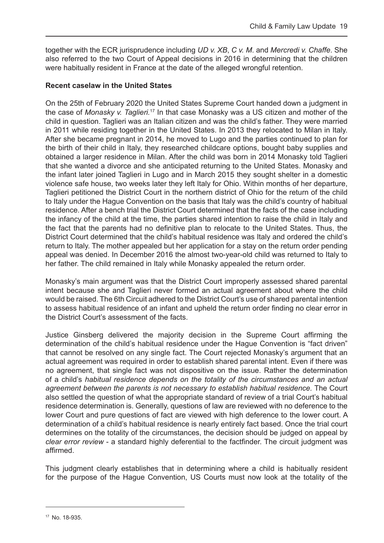together with the ECR jurisprudence including *UD v. XB*, *C v. M*. and *Mercredi v. Chaffe*. She also referred to the two Court of Appeal decisions in 2016 in determining that the children were habitually resident in France at the date of the alleged wrongful retention.

#### **Recent caselaw in the United States**

On the 25th of February 2020 the United States Supreme Court handed down a judgment in the case of *Monasky v. Taglieri.*17 In that case Monasky was a US citizen and mother of the child in question. Taglieri was an Italian citizen and was the child's father. They were married in 2011 while residing together in the United States. In 2013 they relocated to Milan in Italy. After she became pregnant in 2014, he moved to Lugo and the parties continued to plan for the birth of their child in Italy, they researched childcare options, bought baby supplies and obtained a larger residence in Milan. After the child was born in 2014 Monasky told Taglieri that she wanted a divorce and she anticipated returning to the United States. Monasky and the infant later joined Taglieri in Lugo and in March 2015 they sought shelter in a domestic violence safe house, two weeks later they left Italy for Ohio. Within months of her departure, Taglieri petitioned the District Court in the northern district of Ohio for the return of the child to Italy under the Hague Convention on the basis that Italy was the child's country of habitual residence. After a bench trial the District Court determined that the facts of the case including the infancy of the child at the time, the parties shared intention to raise the child in Italy and the fact that the parents had no definitive plan to relocate to the United States. Thus, the District Court determined that the child's habitual residence was Italy and ordered the child's return to Italy. The mother appealed but her application for a stay on the return order pending appeal was denied. In December 2016 the almost two-year-old child was returned to Italy to her father. The child remained in Italy while Monasky appealed the return order.

Monasky's main argument was that the District Court improperly assessed shared parental intent because she and Taglieri never formed an actual agreement about where the child would be raised. The 6th Circuit adhered to the District Court's use of shared parental intention to assess habitual residence of an infant and upheld the return order finding no clear error in the District Court's assessment of the facts.

Justice Ginsberg delivered the majority decision in the Supreme Court affirming the determination of the child's habitual residence under the Hague Convention is "fact driven" that cannot be resolved on any single fact. The Court rejected Monasky's argument that an actual agreement was required in order to establish shared parental intent. Even if there was no agreement, that single fact was not dispositive on the issue. Rather the determination of a child's *habitual residence depends on the totality of the circumstances and an actual agreement between the parents is not necessary to establish habitual residence.* The Court also settled the question of what the appropriate standard of review of a trial Court's habitual residence determination is. Generally, questions of law are reviewed with no deference to the lower Court and pure questions of fact are viewed with high deference to the lower court. A determination of a child's habitual residence is nearly entirely fact based. Once the trial court determines on the totality of the circumstances, the decision should be judged on appeal by *clear error review* - a standard highly deferential to the factfinder. The circuit judgment was affirmed.

This judgment clearly establishes that in determining where a child is habitually resident for the purpose of the Hague Convention, US Courts must now look at the totality of the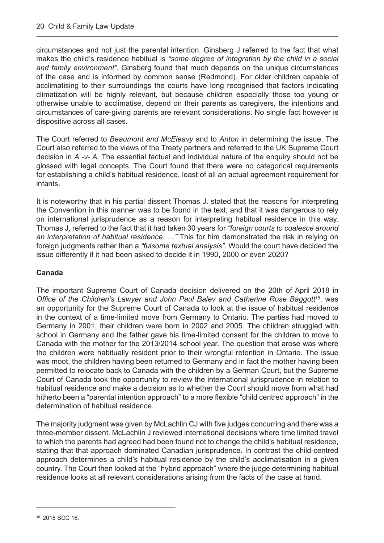circumstances and not just the parental intention. Ginsberg J referred to the fact that what makes the child's residence habitual is *"some degree of integration by the child in a social and family environment"*. Ginsberg found that much depends on the unique circumstances of the case and is informed by common sense (Redmond). For older children capable of acclimatising to their surroundings the courts have long recognised that factors indicating climatization will be highly relevant, but because children especially those too young or otherwise unable to acclimatise, depend on their parents as caregivers, the intentions and circumstances of care-giving parents are relevant considerations. No single fact however is dispositive across all cases.

The Court referred to *Beaumont and McEleavy* and to *Anton* in determining the issue. The Court also referred to the views of the Treaty partners and referred to the UK Supreme Court decision in *A -v- A.* The essential factual and individual nature of the enquiry should not be glossed with legal concepts. The Court found that there were no categorical requirements for establishing a child's habitual residence, least of all an actual agreement requirement for infants.

It is noteworthy that in his partial dissent Thomas J. stated that the reasons for interpreting the Convention in this manner was to be found in the text, and that it was dangerous to rely on international jurisprudence as a reason for interpreting habitual residence in this way. Thomas J, referred to the fact that it had taken 30 years for *"foreign courts to coalesce around an interpretation of habitual residence. …"* This for him demonstrated the risk in relying on foreign judgments rather than a *"fulsome textual analysis".* Would the court have decided the issue differently if it had been asked to decide it in 1990, 2000 or even 2020?

#### **Canada**

The important Supreme Court of Canada decision delivered on the 20th of April 2018 in *Office of the Children's Lawyer and John Paul Balev and Catherine Rose Baggott*18, was an opportunity for the Supreme Court of Canada to look at the issue of habitual residence in the context of a time-limited move from Germany to Ontario. The parties had moved to Germany in 2001, their children were born in 2002 and 2005. The children struggled with school in Germany and the father gave his time-limited consent for the children to move to Canada with the mother for the 2013/2014 school year. The question that arose was where the children were habitually resident prior to their wrongful retention in Ontario. The issue was moot, the children having been returned to Germany and in fact the mother having been permitted to relocate back to Canada with the children by a German Court, but the Supreme Court of Canada took the opportunity to review the international jurisprudence in relation to habitual residence and make a decision as to whether the Court should move from what had hitherto been a "parental intention approach" to a more flexible "child centred approach" in the determination of habitual residence.

The majority judgment was given by McLachlin CJ with five judges concurring and there was a three-member dissent. McLachlin J reviewed international decisions where time limited travel to which the parents had agreed had been found not to change the child's habitual residence, stating that that approach dominated Canadian jurisprudence. In contrast the child-centred approach determines a child's habitual residence by the child's acclimatisation in a given country. The Court then looked at the "hybrid approach" where the judge determining habitual residence looks at all relevant considerations arising from the facts of the case at hand.

<sup>18</sup> 2018 SCC 16.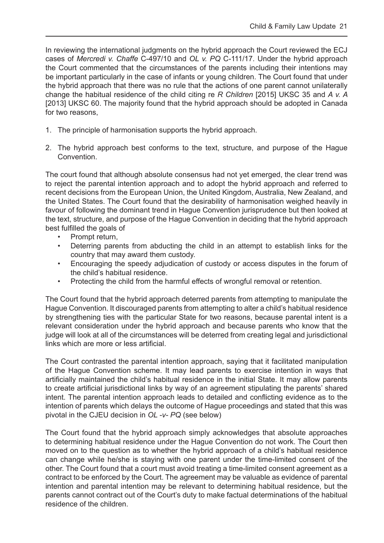In reviewing the international judgments on the hybrid approach the Court reviewed the ECJ cases of *Mercredi v. Chaffe* C-497/10 and *OL v. PQ* C-111/17. Under the hybrid approach the Court commented that the circumstances of the parents including their intentions may be important particularly in the case of infants or young children. The Court found that under the hybrid approach that there was no rule that the actions of one parent cannot unilaterally change the habitual residence of the child citing re *R Children* [2015] UKSC 35 and *A v. A*  [2013] UKSC 60. The majority found that the hybrid approach should be adopted in Canada for two reasons,

- 1. The principle of harmonisation supports the hybrid approach.
- 2. The hybrid approach best conforms to the text, structure, and purpose of the Hague Convention.

The court found that although absolute consensus had not yet emerged, the clear trend was to reject the parental intention approach and to adopt the hybrid approach and referred to recent decisions from the European Union, the United Kingdom, Australia, New Zealand, and the United States. The Court found that the desirability of harmonisation weighed heavily in favour of following the dominant trend in Hague Convention jurisprudence but then looked at the text, structure, and purpose of the Hague Convention in deciding that the hybrid approach best fulfilled the goals of

- Prompt return,
- Deterring parents from abducting the child in an attempt to establish links for the country that may award them custody.
- Encouraging the speedy adjudication of custody or access disputes in the forum of the child's habitual residence.
- Protecting the child from the harmful effects of wrongful removal or retention.

The Court found that the hybrid approach deterred parents from attempting to manipulate the Hague Convention. It discouraged parents from attempting to alter a child's habitual residence by strengthening ties with the particular State for two reasons, because parental intent is a relevant consideration under the hybrid approach and because parents who know that the judge will look at all of the circumstances will be deterred from creating legal and jurisdictional links which are more or less artificial.

The Court contrasted the parental intention approach, saying that it facilitated manipulation of the Hague Convention scheme. It may lead parents to exercise intention in ways that artificially maintained the child's habitual residence in the initial State. It may allow parents to create artificial jurisdictional links by way of an agreement stipulating the parents' shared intent. The parental intention approach leads to detailed and conflicting evidence as to the intention of parents which delays the outcome of Hague proceedings and stated that this was pivotal in the CJEU decision in *OL -v- PQ* (see below)

The Court found that the hybrid approach simply acknowledges that absolute approaches to determining habitual residence under the Hague Convention do not work. The Court then moved on to the question as to whether the hybrid approach of a child's habitual residence can change while he/she is staying with one parent under the time-limited consent of the other. The Court found that a court must avoid treating a time-limited consent agreement as a contract to be enforced by the Court. The agreement may be valuable as evidence of parental intention and parental intention may be relevant to determining habitual residence, but the parents cannot contract out of the Court's duty to make factual determinations of the habitual residence of the children.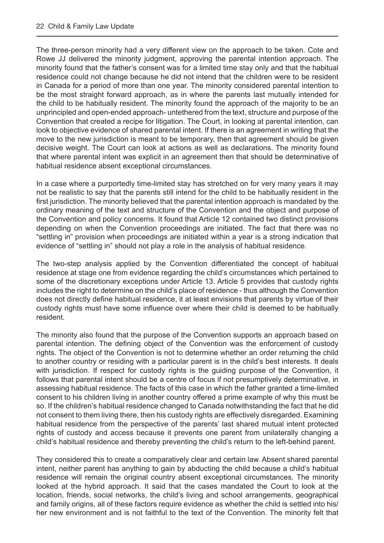The three-person minority had a very different view on the approach to be taken. Cote and Rowe JJ delivered the minority judgment, approving the parental intention approach. The minority found that the father's consent was for a limited time stay only and that the habitual residence could not change because he did not intend that the children were to be resident in Canada for a period of more than one year. The minority considered parental intention to be the most straight forward approach, as in where the parents last mutually intended for the child to be habitually resident. The minority found the approach of the majority to be an unprincipled and open-ended approach- untethered from the text, structure and purpose of the Convention that created a recipe for litigation. The Court, in looking at parental intention, can look to objective evidence of shared parental intent. If there is an agreement in writing that the move to the new jurisdiction is meant to be temporary, then that agreement should be given decisive weight. The Court can look at actions as well as declarations. The minority found that where parental intent was explicit in an agreement then that should be determinative of habitual residence absent exceptional circumstances.

In a case where a purportedly time-limited stay has stretched on for very many years it may not be realistic to say that the parents still intend for the child to be habitually resident in the first jurisdiction. The minority believed that the parental intention approach is mandated by the ordinary meaning of the text and structure of the Convention and the object and purpose of the Convention and policy concerns. It found that Article 12 contained two distinct provisions depending on when the Convention proceedings are initiated. The fact that there was no "settling in" provision when proceedings are initiated within a year is a strong indication that evidence of "settling in" should not play a role in the analysis of habitual residence.

The two-step analysis applied by the Convention differentiated the concept of habitual residence at stage one from evidence regarding the child's circumstances which pertained to some of the discretionary exceptions under Article 13. Article 5 provides that custody rights includes the right to determine on the child's place of residence - thus although the Convention does not directly define habitual residence, it at least envisions that parents by virtue of their custody rights must have some influence over where their child is deemed to be habitually resident.

The minority also found that the purpose of the Convention supports an approach based on parental intention. The defining object of the Convention was the enforcement of custody rights. The object of the Convention is not to determine whether an order returning the child to another country or residing with a particular parent is in the child's best interests. It deals with jurisdiction. If respect for custody rights is the guiding purpose of the Convention, it follows that parental intent should be a centre of focus if not presumptively determinative, in assessing habitual residence. The facts of this case in which the father granted a time-limited consent to his children living in another country offered a prime example of why this must be so. If the children's habitual residence changed to Canada notwithstanding the fact that he did not consent to them living there, then his custody rights are effectively disregarded. Examining habitual residence from the perspective of the parents' last shared mutual intent protected rights of custody and access because it prevents one parent from unilaterally changing a child's habitual residence and thereby preventing the child's return to the left-behind parent.

They considered this to create a comparatively clear and certain law. Absent shared parental intent, neither parent has anything to gain by abducting the child because a child's habitual residence will remain the original country absent exceptional circumstances. The minority looked at the hybrid approach. It said that the cases mandated the Court to look at the location, friends, social networks, the child's living and school arrangements, geographical and family origins, all of these factors require evidence as whether the child is settled into his/ her new environment and is not faithful to the text of the Convention. The minority felt that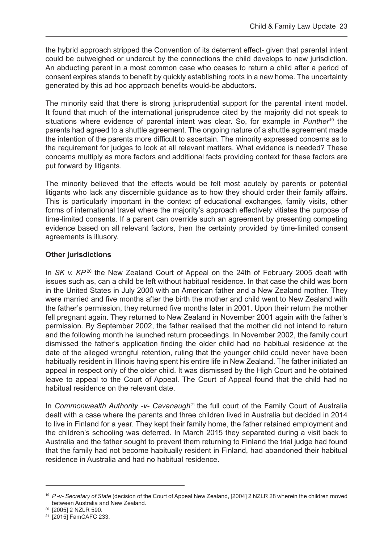the hybrid approach stripped the Convention of its deterrent effect- given that parental intent could be outweighed or undercut by the connections the child develops to new jurisdiction. An abducting parent in a most common case who ceases to return a child after a period of consent expires stands to benefit by quickly establishing roots in a new home. The uncertainty generated by this ad hoc approach benefits would-be abductors.

The minority said that there is strong jurisprudential support for the parental intent model. It found that much of the international jurisprudence cited by the majority did not speak to situations where evidence of parental intent was clear. So, for example in *Punther*19 the parents had agreed to a shuttle agreement. The ongoing nature of a shuttle agreement made the intention of the parents more difficult to ascertain. The minority expressed concerns as to the requirement for judges to look at all relevant matters. What evidence is needed? These concerns multiply as more factors and additional facts providing context for these factors are put forward by litigants.

The minority believed that the effects would be felt most acutely by parents or potential litigants who lack any discernible guidance as to how they should order their family affairs. This is particularly important in the context of educational exchanges, family visits, other forms of international travel where the majority's approach effectively vitiates the purpose of time-limited consents. If a parent can override such an agreement by presenting competing evidence based on all relevant factors, then the certainty provided by time-limited consent agreements is illusory.

#### **Other jurisdictions**

In *SK v. KP*<sup>20</sup> the New Zealand Court of Appeal on the 24th of February 2005 dealt with issues such as, can a child be left without habitual residence. In that case the child was born in the United States in July 2000 with an American father and a New Zealand mother. They were married and five months after the birth the mother and child went to New Zealand with the father's permission, they returned five months later in 2001. Upon their return the mother fell pregnant again. They returned to New Zealand in November 2001 again with the father's permission. By September 2002, the father realised that the mother did not intend to return and the following month he launched return proceedings. In November 2002, the family court dismissed the father's application finding the older child had no habitual residence at the date of the alleged wrongful retention, ruling that the younger child could never have been habitually resident in Illinois having spent his entire life in New Zealand. The father initiated an appeal in respect only of the older child. It was dismissed by the High Court and he obtained leave to appeal to the Court of Appeal. The Court of Appeal found that the child had no habitual residence on the relevant date.

In *Commonwealth Authority -v- Cavanaugh*<sup>21</sup> the full court of the Family Court of Australia dealt with a case where the parents and three children lived in Australia but decided in 2014 to live in Finland for a year. They kept their family home, the father retained employment and the children's schooling was deferred. In March 2015 they separated during a visit back to Australia and the father sought to prevent them returning to Finland the trial judge had found that the family had not become habitually resident in Finland, had abandoned their habitual residence in Australia and had no habitual residence.

<sup>19</sup> *P -v- Secretary of State* (decision of the Court of Appeal New Zealand, [2004] 2 NZLR 28 wherein the children moved between Australia and New Zealand.

<sup>20 [2005] 2</sup> NZLR 590.

<sup>21</sup> [2015] FamCAFC 233.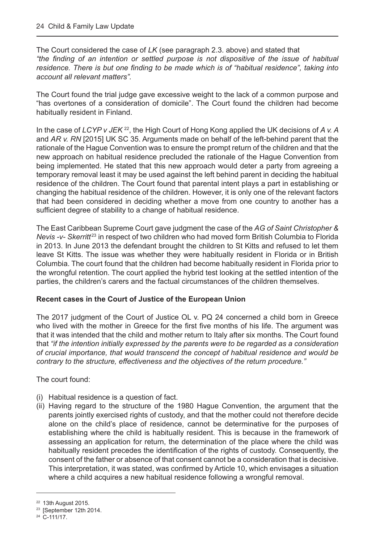The Court considered the case of *LK* (see paragraph 2.3. above) and stated that *"the finding of an intention or settled purpose is not dispositive of the issue of habitual residence. There is but one finding to be made which is of "habitual residence", taking into account all relevant matters".*

The Court found the trial judge gave excessive weight to the lack of a common purpose and "has overtones of a consideration of domicile". The Court found the children had become habitually resident in Finland.

In the case of *LCYP v JEK* <sup>22</sup>, the High Court of Hong Kong applied the UK decisions of *A v. A* and *AR v. RN* [2015] UK SC 35. Arguments made on behalf of the left-behind parent that the rationale of the Hague Convention was to ensure the prompt return of the children and that the new approach on habitual residence precluded the rationale of the Hague Convention from being implemented. He stated that this new approach would deter a party from agreeing a temporary removal least it may be used against the left behind parent in deciding the habitual residence of the children. The Court found that parental intent plays a part in establishing or changing the habitual residence of the children. However, it is only one of the relevant factors that had been considered in deciding whether a move from one country to another has a sufficient degree of stability to a change of habitual residence.

The East Caribbean Supreme Court gave judgment the case of the *AG of Saint Christopher & Nevis -v- Skerritt<sup>23</sup>* in respect of two children who had moved form British Columbia to Florida in 2013. In June 2013 the defendant brought the children to St Kitts and refused to let them leave St Kitts. The issue was whether they were habitually resident in Florida or in British Columbia. The court found that the children had become habitually resident in Florida prior to the wrongful retention. The court applied the hybrid test looking at the settled intention of the parties, the children's carers and the factual circumstances of the children themselves.

#### **Recent cases in the Court of Justice of the European Union**

The 2017 judgment of the Court of Justice OL v. PQ 24 concerned a child born in Greece who lived with the mother in Greece for the first five months of his life. The argument was that it was intended that the child and mother return to Italy after six months. The Court found that *"if the intention initially expressed by the parents were to be regarded as a consideration of crucial importance, that would transcend the concept of habitual residence and would be contrary to the structure, effectiveness and the objectives of the return procedure."*

The court found:

- (i) Habitual residence is a question of fact.
- (ii) Having regard to the structure of the 1980 Hague Convention, the argument that the parents jointly exercised rights of custody, and that the mother could not therefore decide alone on the child's place of residence, cannot be determinative for the purposes of establishing where the child is habitually resident. This is because in the framework of assessing an application for return, the determination of the place where the child was habitually resident precedes the identification of the rights of custody. Consequently, the consent of the father or absence of that consent cannot be a consideration that is decisive. This interpretation, it was stated, was confirmed by Article 10, which envisages a situation where a child acquires a new habitual residence following a wrongful removal.

<sup>22</sup> 13th August 2015.

<sup>&</sup>lt;sup>23</sup> [September 12th 2014.

<sup>24</sup> C-111/17.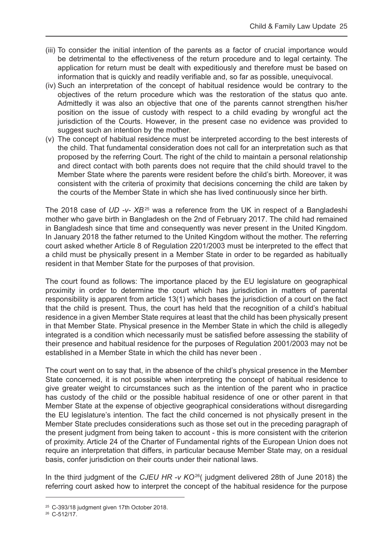- (iii) To consider the initial intention of the parents as a factor of crucial importance would be detrimental to the effectiveness of the return procedure and to legal certainty. The application for return must be dealt with expeditiously and therefore must be based on information that is quickly and readily verifiable and, so far as possible, unequivocal.
- (iv) Such an interpretation of the concept of habitual residence would be contrary to the objectives of the return procedure which was the restoration of the status quo ante. Admittedly it was also an objective that one of the parents cannot strengthen his/her position on the issue of custody with respect to a child evading by wrongful act the jurisdiction of the Courts. However, in the present case no evidence was provided to suggest such an intention by the mother.
- (v) The concept of habitual residence must be interpreted according to the best interests of the child. That fundamental consideration does not call for an interpretation such as that proposed by the referring Court. The right of the child to maintain a personal relationship and direct contact with both parents does not require that the child should travel to the Member State where the parents were resident before the child's birth. Moreover, it was consistent with the criteria of proximity that decisions concerning the child are taken by the courts of the Member State in which she has lived continuously since her birth.

The 2018 case of *UD -v- XB*25 was a reference from the UK in respect of a Bangladeshi mother who gave birth in Bangladesh on the 2nd of February 2017. The child had remained in Bangladesh since that time and consequently was never present in the United Kingdom. In January 2018 the father returned to the United Kingdom without the mother. The referring court asked whether Article 8 of Regulation 2201/2003 must be interpreted to the effect that a child must be physically present in a Member State in order to be regarded as habitually resident in that Member State for the purposes of that provision.

The court found as follows: The importance placed by the EU legislature on geographical proximity in order to determine the court which has jurisdiction in matters of parental responsibility is apparent from article 13(1) which bases the jurisdiction of a court on the fact that the child is present. Thus, the court has held that the recognition of a child's habitual residence in a given Member State requires at least that the child has been physically present in that Member State. Physical presence in the Member State in which the child is allegedly integrated is a condition which necessarily must be satisfied before assessing the stability of their presence and habitual residence for the purposes of Regulation 2001/2003 may not be established in a Member State in which the child has never been .

The court went on to say that, in the absence of the child's physical presence in the Member State concerned, it is not possible when interpreting the concept of habitual residence to give greater weight to circumstances such as the intention of the parent who in practice has custody of the child or the possible habitual residence of one or other parent in that Member State at the expense of objective geographical considerations without disregarding the EU legislature's intention. The fact the child concerned is not physically present in the Member State precludes considerations such as those set out in the preceding paragraph of the present judgment from being taken to account - this is more consistent with the criterion of proximity. Article 24 of the Charter of Fundamental rights of the European Union does not require an interpretation that differs, in particular because Member State may, on a residual basis, confer jurisdiction on their courts under their national laws.

In the third judgment of the *CJEU HR -v KO*<sup>26</sup>( judgment delivered 28th of June 2018) the referring court asked how to interpret the concept of the habitual residence for the purpose

<sup>25</sup> C-393/18 judgment given 17th October 2018.

 $26$  C-512/17.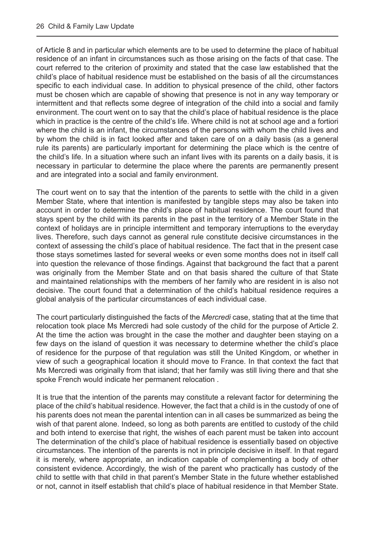of Article 8 and in particular which elements are to be used to determine the place of habitual residence of an infant in circumstances such as those arising on the facts of that case. The court referred to the criterion of proximity and stated that the case law established that the child's place of habitual residence must be established on the basis of all the circumstances specific to each individual case. In addition to physical presence of the child, other factors must be chosen which are capable of showing that presence is not in any way temporary or intermittent and that reflects some degree of integration of the child into a social and family environment. The court went on to say that the child's place of habitual residence is the place which in practice is the centre of the child's life. Where child is not at school age and a fortiori where the child is an infant, the circumstances of the persons with whom the child lives and by whom the child is in fact looked after and taken care of on a daily basis (as a general rule its parents) are particularly important for determining the place which is the centre of the child's life. In a situation where such an infant lives with its parents on a daily basis, it is necessary in particular to determine the place where the parents are permanently present and are integrated into a social and family environment.

The court went on to say that the intention of the parents to settle with the child in a given Member State, where that intention is manifested by tangible steps may also be taken into account in order to determine the child's place of habitual residence. The court found that stays spent by the child with its parents in the past in the territory of a Member State in the context of holidays are in principle intermittent and temporary interruptions to the everyday lives. Therefore, such days cannot as general rule constitute decisive circumstances in the context of assessing the child's place of habitual residence. The fact that in the present case those stays sometimes lasted for several weeks or even some months does not in itself call into question the relevance of those findings. Against that background the fact that a parent was originally from the Member State and on that basis shared the culture of that State and maintained relationships with the members of her family who are resident in is also not decisive. The court found that a determination of the child's habitual residence requires a global analysis of the particular circumstances of each individual case.

The court particularly distinguished the facts of the *Mercredi* case, stating that at the time that relocation took place Ms Mercredi had sole custody of the child for the purpose of Article 2. At the time the action was brought in the case the mother and daughter been staying on a few days on the island of question it was necessary to determine whether the child's place of residence for the purpose of that regulation was still the United Kingdom, or whether in view of such a geographical location it should move to France. In that context the fact that Ms Mercredi was originally from that island; that her family was still living there and that she spoke French would indicate her permanent relocation .

It is true that the intention of the parents may constitute a relevant factor for determining the place of the child's habitual residence. However, the fact that a child is in the custody of one of his parents does not mean the parental intention can in all cases be summarized as being the wish of that parent alone. Indeed, so long as both parents are entitled to custody of the child and both intend to exercise that right, the wishes of each parent must be taken into account The determination of the child's place of habitual residence is essentially based on objective circumstances. The intention of the parents is not in principle decisive in itself. In that regard it is merely, where appropriate, an indication capable of complementing a body of other consistent evidence. Accordingly, the wish of the parent who practically has custody of the child to settle with that child in that parent's Member State in the future whether established or not, cannot in itself establish that child's place of habitual residence in that Member State.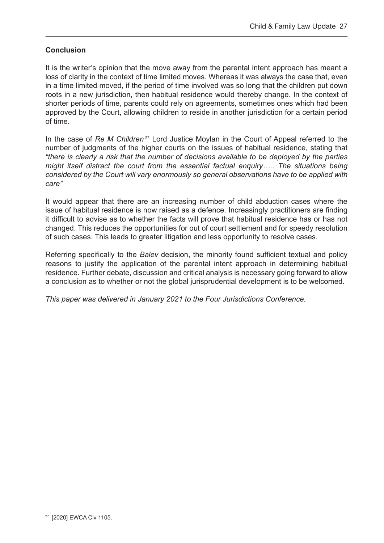#### **Conclusion**

It is the writer's opinion that the move away from the parental intent approach has meant a loss of clarity in the context of time limited moves. Whereas it was always the case that, even in a time limited moved, if the period of time involved was so long that the children put down roots in a new jurisdiction, then habitual residence would thereby change. In the context of shorter periods of time, parents could rely on agreements, sometimes ones which had been approved by the Court, allowing children to reside in another jurisdiction for a certain period of time.

In the case of *Re M Children*<sup>27</sup> Lord Justice Moylan in the Court of Appeal referred to the number of judgments of the higher courts on the issues of habitual residence, stating that *"there is clearly a risk that the number of decisions available to be deployed by the parties might itself distract the court from the essential factual enquiry….. The situations being considered by the Court will vary enormously so general observations have to be applied with care"*

It would appear that there are an increasing number of child abduction cases where the issue of habitual residence is now raised as a defence. Increasingly practitioners are finding it difficult to advise as to whether the facts will prove that habitual residence has or has not changed. This reduces the opportunities for out of court settlement and for speedy resolution of such cases. This leads to greater litigation and less opportunity to resolve cases.

Referring specifically to the *Balev* decision, the minority found sufficient textual and policy reasons to justify the application of the parental intent approach in determining habitual residence. Further debate, discussion and critical analysis is necessary going forward to allow a conclusion as to whether or not the global jurisprudential development is to be welcomed.

*This paper was delivered in January 2021 to the Four Jurisdictions Conference.*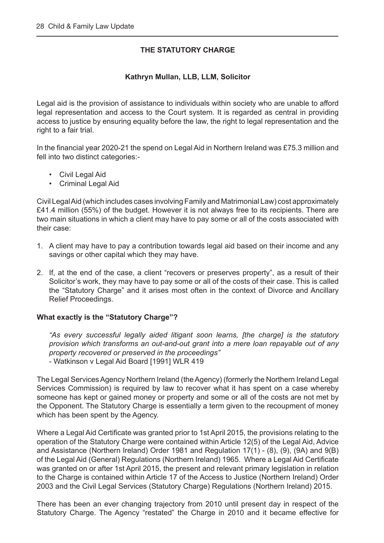#### **THE STATUTORY CHARGE**

#### **Kathryn Mullan, LLB, LLM, Solicitor**

<span id="page-28-0"></span>Legal aid is the provision of assistance to individuals within society who are unable to afford legal representation and access to the Court system. It is regarded as central in providing access to justice by ensuring equality before the law, the right to legal representation and the right to a fair trial.

In the financial year 2020-21 the spend on Legal Aid in Northern Ireland was £75.3 million and fell into two distinct categories:-

- Civil Legal Aid
- Criminal Legal Aid

Civil Legal Aid (which includes cases involving Family and Matrimonial Law) cost approximately £41.4 million (55%) of the budget. However it is not always free to its recipients. There are two main situations in which a client may have to pay some or all of the costs associated with their case:

- 1. A client may have to pay a contribution towards legal aid based on their income and any savings or other capital which they may have.
- 2. If, at the end of the case, a client "recovers or preserves property", as a result of their Solicitor's work, they may have to pay some or all of the costs of their case. This is called the "Statutory Charge" and it arises most often in the context of Divorce and Ancillary Relief Proceedings.

#### **What exactly is the "Statutory Charge"?**

*"As every successful legally aided litigant soon learns, [the charge] is the statutory provision which transforms an out-and-out grant into a mere loan repayable out of any property recovered or preserved in the proceedings"* - Watkinson v Legal Aid Board [1991] WLR 419

The Legal Services Agency Northern Ireland (the Agency) (formerly the Northern Ireland Legal Services Commission) is required by law to recover what it has spent on a case whereby someone has kept or gained money or property and some or all of the costs are not met by the Opponent. The Statutory Charge is essentially a term given to the recoupment of money which has been spent by the Agency.

Where a Legal Aid Certificate was granted prior to 1st April 2015, the provisions relating to the operation of the Statutory Charge were contained within Article 12(5) of the Legal Aid, Advice and Assistance (Northern Ireland) Order 1981 and Regulation 17(1) - (8), (9), (9A) and 9(B) of the Legal Aid (General) Regulations (Northern Ireland) 1965. Where a Legal Aid Certificate was granted on or after 1st April 2015, the present and relevant primary legislation in relation to the Charge is contained within Article 17 of the Access to Justice (Northern Ireland) Order 2003 and the Civil Legal Services (Statutory Charge) Regulations (Northern Ireland) 2015.

There has been an ever changing trajectory from 2010 until present day in respect of the Statutory Charge. The Agency "restated" the Charge in 2010 and it became effective for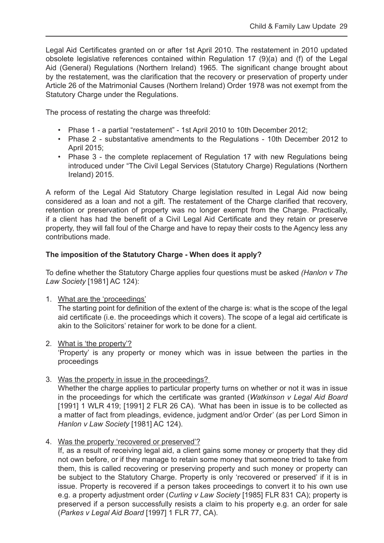Legal Aid Certificates granted on or after 1st April 2010. The restatement in 2010 updated obsolete legislative references contained within Regulation 17 (9)(a) and (f) of the Legal Aid (General) Regulations (Northern Ireland) 1965. The significant change brought about by the restatement, was the clarification that the recovery or preservation of property under Article 26 of the Matrimonial Causes (Northern Ireland) Order 1978 was not exempt from the Statutory Charge under the Regulations.

The process of restating the charge was threefold:

- Phase 1 a partial "restatement" 1st April 2010 to 10th December 2012;
- Phase 2 substantative amendments to the Regulations 10th December 2012 to April 2015;
- Phase 3 the complete replacement of Regulation 17 with new Regulations being introduced under "The Civil Legal Services (Statutory Charge) Regulations (Northern Ireland) 2015.

A reform of the Legal Aid Statutory Charge legislation resulted in Legal Aid now being considered as a loan and not a gift. The restatement of the Charge clarified that recovery, retention or preservation of property was no longer exempt from the Charge. Practically, if a client has had the benefit of a Civil Legal Aid Certificate and they retain or preserve property, they will fall foul of the Charge and have to repay their costs to the Agency less any contributions made.

#### **The imposition of the Statutory Charge - When does it apply?**

To define whether the Statutory Charge applies four questions must be asked *(Hanlon v The Law Society* [1981] AC 124):

1. What are the 'proceedings'

The starting point for definition of the extent of the charge is: what is the scope of the legal aid certificate (i.e. the proceedings which it covers). The scope of a legal aid certificate is akin to the Solicitors' retainer for work to be done for a client.

2. What is 'the property'?

'Property' is any property or money which was in issue between the parties in the proceedings

3. Was the property in issue in the proceedings?

Whether the charge applies to particular property turns on whether or not it was in issue in the proceedings for which the certificate was granted (*Watkinson v Legal Aid Board* [1991] 1 WLR 419; [1991] 2 FLR 26 CA). 'What has been in issue is to be collected as a matter of fact from pleadings, evidence, judgment and/or Order' (as per Lord Simon in *Hanlon v Law Society* [1981] AC 124).

4. Was the property 'recovered or preserved'?

If, as a result of receiving legal aid, a client gains some money or property that they did not own before, or if they manage to retain some money that someone tried to take from them, this is called recovering or preserving property and such money or property can be subject to the Statutory Charge. Property is only 'recovered or preserved' if it is in issue. Property is recovered if a person takes proceedings to convert it to his own use e.g. a property adjustment order (*Curling v Law Society* [1985] FLR 831 CA); property is preserved if a person successfully resists a claim to his property e.g. an order for sale (*Parkes v Legal Aid Board* [1997] 1 FLR 77, CA).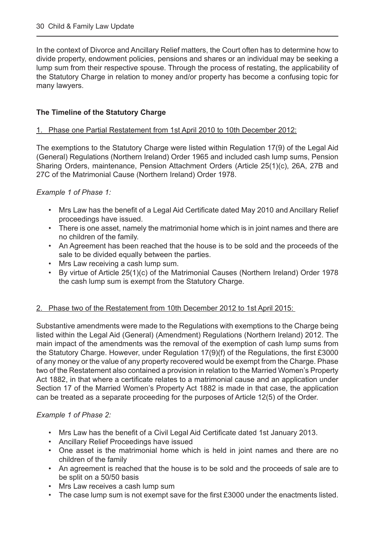In the context of Divorce and Ancillary Relief matters, the Court often has to determine how to divide property, endowment policies, pensions and shares or an individual may be seeking a lump sum from their respective spouse. Through the process of restating, the applicability of the Statutory Charge in relation to money and/or property has become a confusing topic for many lawyers.

#### **The Timeline of the Statutory Charge**

#### 1. Phase one Partial Restatement from 1st April 2010 to 10th December 2012:

The exemptions to the Statutory Charge were listed within Regulation 17(9) of the Legal Aid (General) Regulations (Northern Ireland) Order 1965 and included cash lump sums, Pension Sharing Orders, maintenance, Pension Attachment Orders (Article 25(1)(c), 26A, 27B and 27C of the Matrimonial Cause (Northern Ireland) Order 1978.

*Example 1 of Phase 1:* 

- Mrs Law has the benefit of a Legal Aid Certificate dated May 2010 and Ancillary Relief proceedings have issued.
- There is one asset, namely the matrimonial home which is in joint names and there are no children of the family.
- An Agreement has been reached that the house is to be sold and the proceeds of the sale to be divided equally between the parties.
- Mrs Law receiving a cash lump sum.
- By virtue of Article 25(1)(c) of the Matrimonial Causes (Northern Ireland) Order 1978 the cash lump sum is exempt from the Statutory Charge.

#### 2. Phase two of the Restatement from 10th December 2012 to 1st April 2015:

Substantive amendments were made to the Regulations with exemptions to the Charge being listed within the Legal Aid (General) (Amendment) Regulations (Northern Ireland) 2012. The main impact of the amendments was the removal of the exemption of cash lump sums from the Statutory Charge. However, under Regulation 17(9)(f) of the Regulations, the first £3000 of any money or the value of any property recovered would be exempt from the Charge. Phase two of the Restatement also contained a provision in relation to the Married Women's Property Act 1882, in that where a certificate relates to a matrimonial cause and an application under Section 17 of the Married Women's Property Act 1882 is made in that case, the application can be treated as a separate proceeding for the purposes of Article 12(5) of the Order.

#### *Example 1 of Phase 2:*

- Mrs Law has the benefit of a Civil Legal Aid Certificate dated 1st January 2013.
- Ancillary Relief Proceedings have issued
- One asset is the matrimonial home which is held in joint names and there are no children of the family
- An agreement is reached that the house is to be sold and the proceeds of sale are to be split on a 50/50 basis
- Mrs Law receives a cash lump sum
- The case lump sum is not exempt save for the first £3000 under the enactments listed.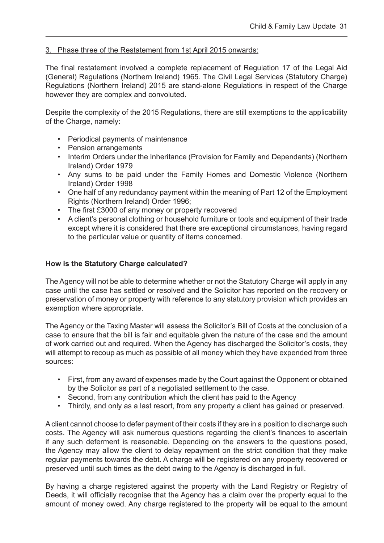#### 3. Phase three of the Restatement from 1st April 2015 onwards:

The final restatement involved a complete replacement of Regulation 17 of the Legal Aid (General) Regulations (Northern Ireland) 1965. The Civil Legal Services (Statutory Charge) Regulations (Northern Ireland) 2015 are stand-alone Regulations in respect of the Charge however they are complex and convoluted.

Despite the complexity of the 2015 Regulations, there are still exemptions to the applicability of the Charge, namely:

- Periodical payments of maintenance
- Pension arrangements
- Interim Orders under the Inheritance (Provision for Family and Dependants) (Northern Ireland) Order 1979
- Any sums to be paid under the Family Homes and Domestic Violence (Northern Ireland) Order 1998
- One half of any redundancy payment within the meaning of Part 12 of the Employment Rights (Northern Ireland) Order 1996;
- The first £3000 of any money or property recovered
- A client's personal clothing or household furniture or tools and equipment of their trade except where it is considered that there are exceptional circumstances, having regard to the particular value or quantity of items concerned.

#### **How is the Statutory Charge calculated?**

The Agency will not be able to determine whether or not the Statutory Charge will apply in any case until the case has settled or resolved and the Solicitor has reported on the recovery or preservation of money or property with reference to any statutory provision which provides an exemption where appropriate.

The Agency or the Taxing Master will assess the Solicitor's Bill of Costs at the conclusion of a case to ensure that the bill is fair and equitable given the nature of the case and the amount of work carried out and required. When the Agency has discharged the Solicitor's costs, they will attempt to recoup as much as possible of all money which they have expended from three sources:

- First, from any award of expenses made by the Court against the Opponent or obtained by the Solicitor as part of a negotiated settlement to the case.
- Second, from any contribution which the client has paid to the Agency
- Thirdly, and only as a last resort, from any property a client has gained or preserved.

A client cannot choose to defer payment of their costs if they are in a position to discharge such costs. The Agency will ask numerous questions regarding the client's finances to ascertain if any such deferment is reasonable. Depending on the answers to the questions posed, the Agency may allow the client to delay repayment on the strict condition that they make regular payments towards the debt. A charge will be registered on any property recovered or preserved until such times as the debt owing to the Agency is discharged in full.

By having a charge registered against the property with the Land Registry or Registry of Deeds, it will officially recognise that the Agency has a claim over the property equal to the amount of money owed. Any charge registered to the property will be equal to the amount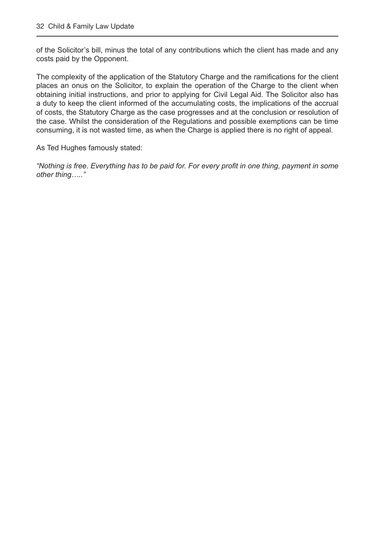of the Solicitor's bill, minus the total of any contributions which the client has made and any costs paid by the Opponent.

The complexity of the application of the Statutory Charge and the ramifications for the client places an onus on the Solicitor, to explain the operation of the Charge to the client when obtaining initial instructions, and prior to applying for Civil Legal Aid. The Solicitor also has a duty to keep the client informed of the accumulating costs, the implications of the accrual of costs, the Statutory Charge as the case progresses and at the conclusion or resolution of the case. Whilst the consideration of the Regulations and possible exemptions can be time consuming, it is not wasted time, as when the Charge is applied there is no right of appeal.

As Ted Hughes famously stated:

*"Nothing is free. Everything has to be paid for. For every profit in one thing, payment in some other thing….."*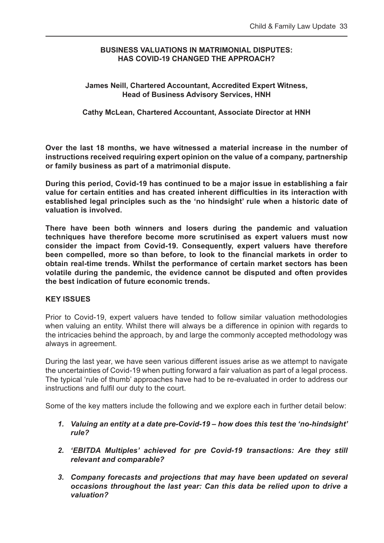#### <span id="page-33-0"></span>**BUSINESS VALUATIONS IN MATRIMONIAL DISPUTES: HAS COVID-19 CHANGED THE APPROACH?**

#### **James Neill, Chartered Accountant, Accredited Expert Witness, Head of Business Advisory Services, HNH**

#### **Cathy McLean, Chartered Accountant, Associate Director at HNH**

**Over the last 18 months, we have witnessed a material increase in the number of instructions received requiring expert opinion on the value of a company, partnership or family business as part of a matrimonial dispute.** 

**During this period, Covid-19 has continued to be a major issue in establishing a fair value for certain entities and has created inherent difficulties in its interaction with established legal principles such as the 'no hindsight' rule when a historic date of valuation is involved.** 

**There have been both winners and losers during the pandemic and valuation techniques have therefore become more scrutinised as expert valuers must now consider the impact from Covid-19. Consequently, expert valuers have therefore been compelled, more so than before, to look to the financial markets in order to obtain real-time trends. Whilst the performance of certain market sectors has been volatile during the pandemic, the evidence cannot be disputed and often provides the best indication of future economic trends.** 

#### **KEY ISSUES**

Prior to Covid-19, expert valuers have tended to follow similar valuation methodologies when valuing an entity. Whilst there will always be a difference in opinion with regards to the intricacies behind the approach, by and large the commonly accepted methodology was always in agreement.

During the last year, we have seen various different issues arise as we attempt to navigate the uncertainties of Covid-19 when putting forward a fair valuation as part of a legal process. The typical 'rule of thumb' approaches have had to be re-evaluated in order to address our instructions and fulfil our duty to the court.

Some of the key matters include the following and we explore each in further detail below:

- *1. Valuing an entity at a date pre-Covid-19 how does this test the 'no-hindsight' rule?*
- *2. 'EBITDA Multiples' achieved for pre Covid-19 transactions: Are they still relevant and comparable?*
- *3. Company forecasts and projections that may have been updated on several occasions throughout the last year: Can this data be relied upon to drive a valuation?*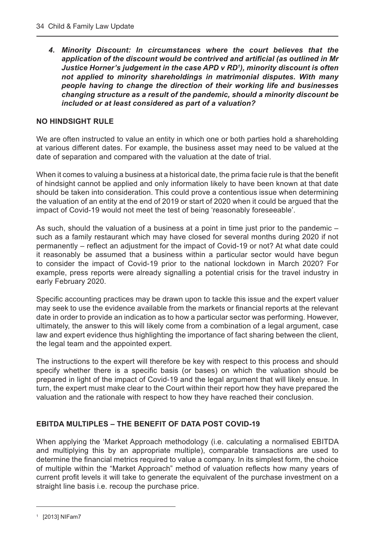*4. Minority Discount: In circumstances where the court believes that the application of the discount would be contrived and artificial (as outlined in Mr Justice Horner's judgement in the case APD v RD1 ), minority discount is often not applied to minority shareholdings in matrimonial disputes. With many people having to change the direction of their working life and businesses changing structure as a result of the pandemic, should a minority discount be included or at least considered as part of a valuation?* 

#### **NO HINDSIGHT RULE**

We are often instructed to value an entity in which one or both parties hold a shareholding at various different dates. For example, the business asset may need to be valued at the date of separation and compared with the valuation at the date of trial.

When it comes to valuing a business at a historical date, the prima facie rule is that the benefit of hindsight cannot be applied and only information likely to have been known at that date should be taken into consideration. This could prove a contentious issue when determining the valuation of an entity at the end of 2019 or start of 2020 when it could be argued that the impact of Covid-19 would not meet the test of being 'reasonably foreseeable'.

As such, should the valuation of a business at a point in time just prior to the pandemic – such as a family restaurant which may have closed for several months during 2020 if not permanently – reflect an adjustment for the impact of Covid-19 or not? At what date could it reasonably be assumed that a business within a particular sector would have begun to consider the impact of Covid-19 prior to the national lockdown in March 2020? For example, press reports were already signalling a potential crisis for the travel industry in early February 2020.

Specific accounting practices may be drawn upon to tackle this issue and the expert valuer may seek to use the evidence available from the markets or financial reports at the relevant date in order to provide an indication as to how a particular sector was performing. However, ultimately, the answer to this will likely come from a combination of a legal argument, case law and expert evidence thus highlighting the importance of fact sharing between the client, the legal team and the appointed expert.

The instructions to the expert will therefore be key with respect to this process and should specify whether there is a specific basis (or bases) on which the valuation should be prepared in light of the impact of Covid-19 and the legal argument that will likely ensue. In turn, the expert must make clear to the Court within their report how they have prepared the valuation and the rationale with respect to how they have reached their conclusion.

#### **EBITDA MULTIPLES – THE BENEFIT OF DATA POST COVID-19**

When applying the 'Market Approach methodology (i.e. calculating a normalised EBITDA and multiplying this by an appropriate multiple), comparable transactions are used to determine the financial metrics required to value a company. In its simplest form, the choice of multiple within the "Market Approach" method of valuation reflects how many years of current profit levels it will take to generate the equivalent of the purchase investment on a straight line basis i.e. recoup the purchase price.

<sup>1</sup> [2013] NIFam7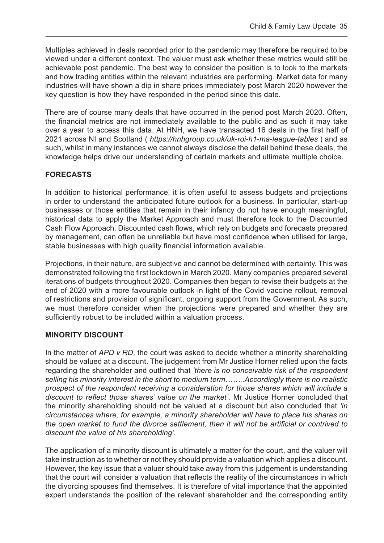Multiples achieved in deals recorded prior to the pandemic may therefore be required to be viewed under a different context. The valuer must ask whether these metrics would still be achievable post pandemic. The best way to consider the position is to look to the markets and how trading entities within the relevant industries are performing. Market data for many industries will have shown a dip in share prices immediately post March 2020 however the key question is how they have responded in the period since this date.

There are of course many deals that have occurred in the period post March 2020. Often, the financial metrics are not immediately available to the public and as such it may take over a year to access this data. At HNH, we have transacted 16 deals in the first half of 2021 across NI and Scotland ( *https://hnhgroup.co.uk/uk-roi-h1-ma-league-tables* ) and as such, whilst in many instances we cannot always disclose the detail behind these deals, the knowledge helps drive our understanding of certain markets and ultimate multiple choice.

#### **FORECASTS**

In addition to historical performance, it is often useful to assess budgets and projections in order to understand the anticipated future outlook for a business. In particular, start-up businesses or those entities that remain in their infancy do not have enough meaningful, historical data to apply the Market Approach and must therefore look to the Discounted Cash Flow Approach. Discounted cash flows, which rely on budgets and forecasts prepared by management, can often be unreliable but have most confidence when utilised for large, stable businesses with high quality financial information available.

Projections, in their nature, are subjective and cannot be determined with certainty. This was demonstrated following the first lockdown in March 2020. Many companies prepared several iterations of budgets throughout 2020. Companies then began to revise their budgets at the end of 2020 with a more favourable outlook in light of the Covid vaccine rollout, removal of restrictions and provision of significant, ongoing support from the Government. As such, we must therefore consider when the projections were prepared and whether they are sufficiently robust to be included within a valuation process.

#### **MINORITY DISCOUNT**

In the matter of *APD v RD*, the court was asked to decide whether a minority shareholding should be valued at a discount. The judgement from Mr Justice Horner relied upon the facts regarding the shareholder and outlined that *'there is no conceivable risk of the respondent selling his minority interest in the short to medium term……..Accordingly there is no realistic prospect of the respondent receiving a consideration for those shares which will include a discount to reflect those shares' value on the market'*. Mr Justice Horner concluded that the minority shareholding should not be valued at a discount but also concluded that *'in circumstances where, for example, a minority shareholder will have to place his shares on the open market to fund the divorce settlement, then it will not be artificial or contrived to discount the value of his shareholding'.* 

The application of a minority discount is ultimately a matter for the court, and the valuer will take instruction as to whether or not they should provide a valuation which applies a discount. However, the key issue that a valuer should take away from this judgement is understanding that the court will consider a valuation that reflects the reality of the circumstances in which the divorcing spouses find themselves. It is therefore of vital importance that the appointed expert understands the position of the relevant shareholder and the corresponding entity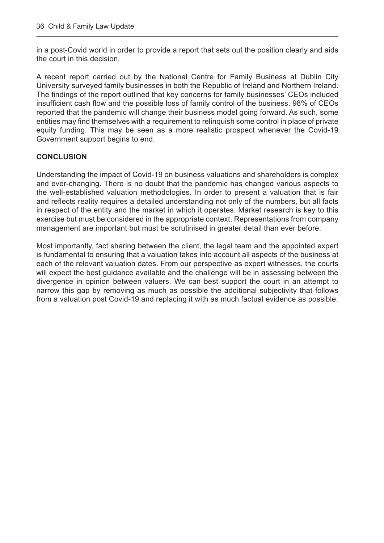in a post-Covid world in order to provide a report that sets out the position clearly and aids the court in this decision.

A recent report carried out by the National Centre for Family Business at Dublin City University surveyed family businesses in both the Republic of Ireland and Northern Ireland. The findings of the report outlined that key concerns for family businesses' CEOs included insufficient cash flow and the possible loss of family control of the business. 98% of CEOs reported that the pandemic will change their business model going forward. As such, some entities may find themselves with a requirement to relinquish some control in place of private equity funding. This may be seen as a more realistic prospect whenever the Covid-19 Government support begins to end.

#### **CONCLUSION**

Understanding the impact of Covid-19 on business valuations and shareholders is complex and ever-changing. There is no doubt that the pandemic has changed various aspects to the well-established valuation methodologies. In order to present a valuation that is fair and reflects reality requires a detailed understanding not only of the numbers, but all facts in respect of the entity and the market in which it operates. Market research is key to this exercise but must be considered in the appropriate context. Representations from company management are important but must be scrutinised in greater detail than ever before.

Most importantly, fact sharing between the client, the legal team and the appointed expert is fundamental to ensuring that a valuation takes into account all aspects of the business at each of the relevant valuation dates. From our perspective as expert witnesses, the courts will expect the best guidance available and the challenge will be in assessing between the divergence in opinion between valuers. We can best support the court in an attempt to narrow this gap by removing as much as possible the additional subjectivity that follows from a valuation post Covid-19 and replacing it with as much factual evidence as possible.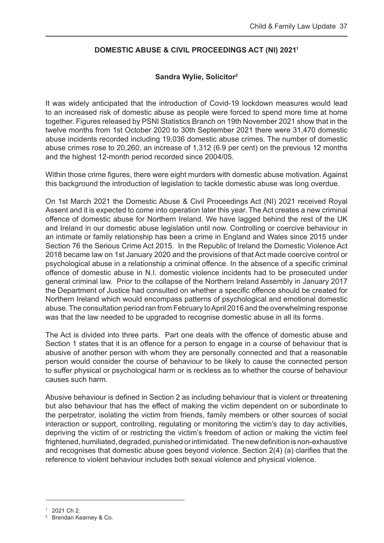#### <span id="page-37-0"></span>**DOMESTIC ABUSE & CIVIL PROCEEDINGS ACT (NI) 20211**

#### **Sandra Wylie, Solicitor2**

It was widely anticipated that the introduction of Covid-19 lockdown measures would lead to an increased risk of domestic abuse as people were forced to spend more time at home together. Figures released by PSNI Statistics Branch on 19th November 2021 show that in the twelve months from 1st October 2020 to 30th September 2021 there were 31,470 domestic abuse incidents recorded including 19,036 domestic abuse crimes. The number of domestic abuse crimes rose to 20,260, an increase of 1,312 (6.9 per cent) on the previous 12 months and the highest 12-month period recorded since 2004/05.

Within those crime figures, there were eight murders with domestic abuse motivation. Against this background the introduction of legislation to tackle domestic abuse was long overdue.

On 1st March 2021 the Domestic Abuse & Civil Proceedings Act (NI) 2021 received Royal Assent and it is expected to come into operation later this year. The Act creates a new criminal offence of domestic abuse for Northern Ireland. We have lagged behind the rest of the UK and Ireland in our domestic abuse legislation until now. Controlling or coercive behaviour in an intimate or family relationship has been a crime in England and Wales since 2015 under Section 76 the Serious Crime Act 2015. In the Republic of Ireland the Domestic Violence Act 2018 became law on 1st January 2020 and the provisions of that Act made coercive control or psychological abuse in a relationship a criminal offence. In the absence of a specific criminal offence of domestic abuse in N.I. domestic violence incidents had to be prosecuted under general criminal law. Prior to the collapse of the Northern Ireland Assembly in January 2017 the Department of Justice had consulted on whether a specific offence should be created for Northern Ireland which would encompass patterns of psychological and emotional domestic abuse. The consultation period ran from February to April 2016 and the overwhelming response was that the law needed to be upgraded to recognise domestic abuse in all its forms.

The Act is divided into three parts. Part one deals with the offence of domestic abuse and Section 1 states that it is an offence for a person to engage in a course of behaviour that is abusive of another person with whom they are personally connected and that a reasonable person would consider the course of behaviour to be likely to cause the connected person to suffer physical or psychological harm or is reckless as to whether the course of behaviour causes such harm.

Abusive behaviour is defined in Section 2 as including behaviour that is violent or threatening but also behaviour that has the effect of making the victim dependent on or subordinate to the perpetrator, isolating the victim from friends, family members or other sources of social interaction or support, controlling, regulating or monitoring the victim's day to day activities, depriving the victim of or restricting the victim's freedom of action or making the victim feel frightened, humiliated, degraded, punished or intimidated. The new definition is non-exhaustive and recognises that domestic abuse goes beyond violence. Section 2(4) (a) clarifies that the reference to violent behaviour includes both sexual violence and physical violence.

<sup>1</sup> 2021 Ch 2.

<sup>2</sup> Brendan Kearney & Co.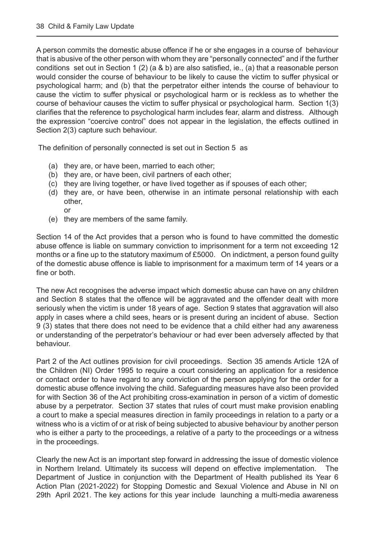A person commits the domestic abuse offence if he or she engages in a course of behaviour that is abusive of the other person with whom they are "personally connected" and if the further conditions set out in Section 1 (2) (a & b) are also satisfied, ie., (a) that a reasonable person would consider the course of behaviour to be likely to cause the victim to suffer physical or psychological harm; and (b) that the perpetrator either intends the course of behaviour to cause the victim to suffer physical or psychological harm or is reckless as to whether the course of behaviour causes the victim to suffer physical or psychological harm. Section 1(3) clarifies that the reference to psychological harm includes fear, alarm and distress. Although the expression "coercive control" does not appear in the legislation, the effects outlined in Section 2(3) capture such behaviour.

The definition of personally connected is set out in Section 5 as

- (a) they are, or have been, married to each other;
- (b) they are, or have been, civil partners of each other;
- (c) they are living together, or have lived together as if spouses of each other;
- (d) they are, or have been, otherwise in an intimate personal relationship with each other, or
- (e) they are members of the same family.

Section 14 of the Act provides that a person who is found to have committed the domestic abuse offence is liable on summary conviction to imprisonment for a term not exceeding 12 months or a fine up to the statutory maximum of £5000. On indictment, a person found guilty of the domestic abuse offence is liable to imprisonment for a maximum term of 14 years or a fine or both.

The new Act recognises the adverse impact which domestic abuse can have on any children and Section 8 states that the offence will be aggravated and the offender dealt with more seriously when the victim is under 18 years of age. Section 9 states that aggravation will also apply in cases where a child sees, hears or is present during an incident of abuse. Section 9 (3) states that there does not need to be evidence that a child either had any awareness or understanding of the perpetrator's behaviour or had ever been adversely affected by that behaviour.

Part 2 of the Act outlines provision for civil proceedings. Section 35 amends Article 12A of the Children (NI) Order 1995 to require a court considering an application for a residence or contact order to have regard to any conviction of the person applying for the order for a domestic abuse offence involving the child. Safeguarding measures have also been provided for with Section 36 of the Act prohibiting cross-examination in person of a victim of domestic abuse by a perpetrator. Section 37 states that rules of court must make provision enabling a court to make a special measures direction in family proceedings in relation to a party or a witness who is a victim of or at risk of being subjected to abusive behaviour by another person who is either a party to the proceedings, a relative of a party to the proceedings or a witness in the proceedings.

Clearly the new Act is an important step forward in addressing the issue of domestic violence in Northern Ireland. Ultimately its success will depend on effective implementation. The Department of Justice in conjunction with the Department of Health published its Year 6 Action Plan (2021-2022) for Stopping Domestic and Sexual Violence and Abuse in NI on 29th April 2021. The key actions for this year include launching a multi-media awareness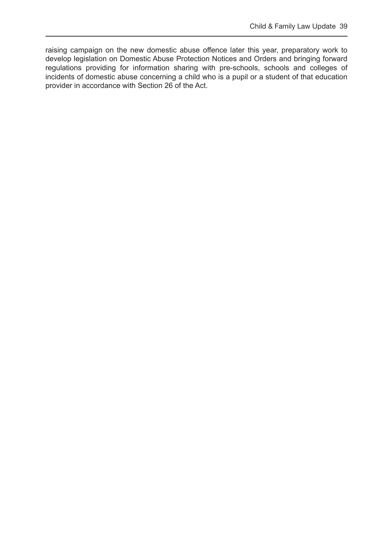raising campaign on the new domestic abuse offence later this year, preparatory work to develop legislation on Domestic Abuse Protection Notices and Orders and bringing forward regulations providing for information sharing with pre-schools, schools and colleges of incidents of domestic abuse concerning a child who is a pupil or a student of that education provider in accordance with Section 26 of the Act.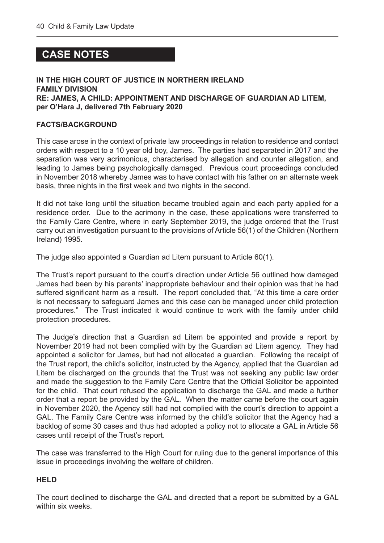# <span id="page-40-0"></span> **CASE NOTES**

#### **IN THE HIGH COURT OF JUSTICE IN NORTHERN IRELAND FAMILY DIVISION RE: JAMES, A CHILD: APPOINTMENT AND DISCHARGE OF GUARDIAN AD LITEM, per O'Hara J, delivered 7th February 2020**

#### **FACTS/BACKGROUND**

This case arose in the context of private law proceedings in relation to residence and contact orders with respect to a 10 year old boy, James. The parties had separated in 2017 and the separation was very acrimonious, characterised by allegation and counter allegation, and leading to James being psychologically damaged. Previous court proceedings concluded in November 2018 whereby James was to have contact with his father on an alternate week basis, three nights in the first week and two nights in the second.

It did not take long until the situation became troubled again and each party applied for a residence order. Due to the acrimony in the case, these applications were transferred to the Family Care Centre, where in early September 2019, the judge ordered that the Trust carry out an investigation pursuant to the provisions of Article 56(1) of the Children (Northern Ireland) 1995.

The judge also appointed a Guardian ad Litem pursuant to Article 60(1).

The Trust's report pursuant to the court's direction under Article 56 outlined how damaged James had been by his parents' inappropriate behaviour and their opinion was that he had suffered significant harm as a result. The report concluded that, "At this time a care order is not necessary to safeguard James and this case can be managed under child protection procedures." The Trust indicated it would continue to work with the family under child protection procedures.

The Judge's direction that a Guardian ad Litem be appointed and provide a report by November 2019 had not been complied with by the Guardian ad Litem agency. They had appointed a solicitor for James, but had not allocated a guardian. Following the receipt of the Trust report, the child's solicitor, instructed by the Agency, applied that the Guardian ad Litem be discharged on the grounds that the Trust was not seeking any public law order and made the suggestion to the Family Care Centre that the Official Solicitor be appointed for the child. That court refused the application to discharge the GAL and made a further order that a report be provided by the GAL. When the matter came before the court again in November 2020, the Agency still had not complied with the court's direction to appoint a GAL. The Family Care Centre was informed by the child's solicitor that the Agency had a backlog of some 30 cases and thus had adopted a policy not to allocate a GAL in Article 56 cases until receipt of the Trust's report.

The case was transferred to the High Court for ruling due to the general importance of this issue in proceedings involving the welfare of children.

#### **HELD**

The court declined to discharge the GAL and directed that a report be submitted by a GAL within six weeks.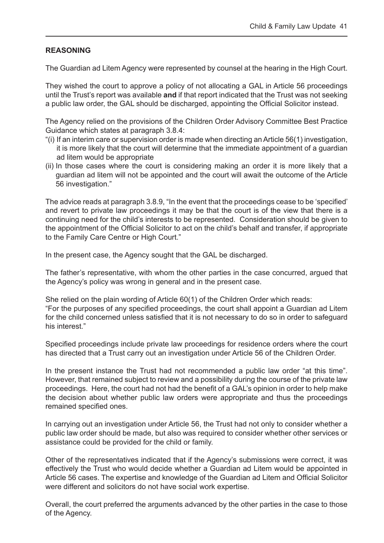#### **REASONING**

The Guardian ad Litem Agency were represented by counsel at the hearing in the High Court.

They wished the court to approve a policy of not allocating a GAL in Article 56 proceedings until the Trust's report was available **and** if that report indicated that the Trust was not seeking a public law order, the GAL should be discharged, appointing the Official Solicitor instead.

The Agency relied on the provisions of the Children Order Advisory Committee Best Practice Guidance which states at paragraph 3.8.4:

- "(i) If an interim care or supervision order is made when directing an Article 56(1) investigation, it is more likely that the court will determine that the immediate appointment of a guardian ad litem would be appropriate
- (ii) In those cases where the court is considering making an order it is more likely that a guardian ad litem will not be appointed and the court will await the outcome of the Article 56 investigation."

The advice reads at paragraph 3.8.9, "In the event that the proceedings cease to be 'specified' and revert to private law proceedings it may be that the court is of the view that there is a continuing need for the child's interests to be represented. Consideration should be given to the appointment of the Official Solicitor to act on the child's behalf and transfer, if appropriate to the Family Care Centre or High Court."

In the present case, the Agency sought that the GAL be discharged.

The father's representative, with whom the other parties in the case concurred, argued that the Agency's policy was wrong in general and in the present case.

She relied on the plain wording of Article 60(1) of the Children Order which reads: "For the purposes of any specified proceedings, the court shall appoint a Guardian ad Litem for the child concerned unless satisfied that it is not necessary to do so in order to safeguard his interest."

Specified proceedings include private law proceedings for residence orders where the court has directed that a Trust carry out an investigation under Article 56 of the Children Order.

In the present instance the Trust had not recommended a public law order "at this time". However, that remained subject to review and a possibility during the course of the private law proceedings. Here, the court had not had the benefit of a GAL's opinion in order to help make the decision about whether public law orders were appropriate and thus the proceedings remained specified ones.

In carrying out an investigation under Article 56, the Trust had not only to consider whether a public law order should be made, but also was required to consider whether other services or assistance could be provided for the child or family.

Other of the representatives indicated that if the Agency's submissions were correct, it was effectively the Trust who would decide whether a Guardian ad Litem would be appointed in Article 56 cases. The expertise and knowledge of the Guardian ad Litem and Official Solicitor were different and solicitors do not have social work expertise.

Overall, the court preferred the arguments advanced by the other parties in the case to those of the Agency.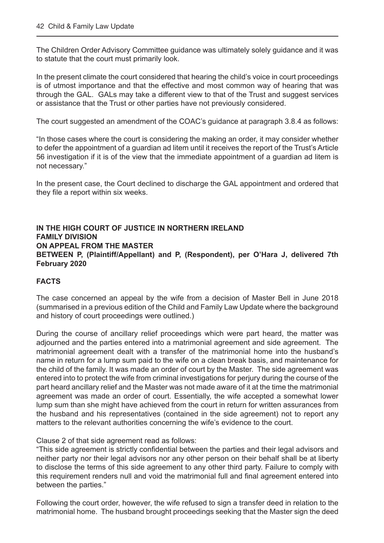The Children Order Advisory Committee guidance was ultimately solely guidance and it was to statute that the court must primarily look.

In the present climate the court considered that hearing the child's voice in court proceedings is of utmost importance and that the effective and most common way of hearing that was through the GAL. GALs may take a different view to that of the Trust and suggest services or assistance that the Trust or other parties have not previously considered.

The court suggested an amendment of the COAC's guidance at paragraph 3.8.4 as follows:

"In those cases where the court is considering the making an order, it may consider whether to defer the appointment of a guardian ad litem until it receives the report of the Trust's Article 56 investigation if it is of the view that the immediate appointment of a guardian ad litem is not necessary."

In the present case, the Court declined to discharge the GAL appointment and ordered that they file a report within six weeks.

#### **IN THE HIGH COURT OF JUSTICE IN NORTHERN IRELAND FAMILY DIVISION ON APPEAL FROM THE MASTER BETWEEN P, (Plaintiff/Appellant) and P, (Respondent), per O'Hara J, delivered 7th February 2020**

#### **FACTS**

The case concerned an appeal by the wife from a decision of Master Bell in June 2018 (summarised in a previous edition of the Child and Family Law Update where the background and history of court proceedings were outlined.)

During the course of ancillary relief proceedings which were part heard, the matter was adjourned and the parties entered into a matrimonial agreement and side agreement. The matrimonial agreement dealt with a transfer of the matrimonial home into the husband's name in return for a lump sum paid to the wife on a clean break basis, and maintenance for the child of the family. It was made an order of court by the Master. The side agreement was entered into to protect the wife from criminal investigations for perjury during the course of the part heard ancillary relief and the Master was not made aware of it at the time the matrimonial agreement was made an order of court. Essentially, the wife accepted a somewhat lower lump sum than she might have achieved from the court in return for written assurances from the husband and his representatives (contained in the side agreement) not to report any matters to the relevant authorities concerning the wife's evidence to the court.

#### Clause 2 of that side agreement read as follows:

"This side agreement is strictly confidential between the parties and their legal advisors and neither party nor their legal advisors nor any other person on their behalf shall be at liberty to disclose the terms of this side agreement to any other third party. Failure to comply with this requirement renders null and void the matrimonial full and final agreement entered into between the parties."

Following the court order, however, the wife refused to sign a transfer deed in relation to the matrimonial home. The husband brought proceedings seeking that the Master sign the deed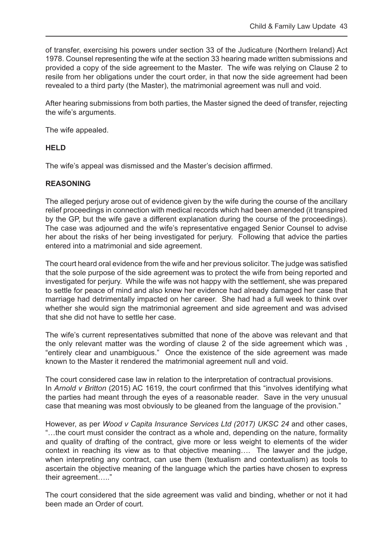of transfer, exercising his powers under section 33 of the Judicature (Northern Ireland) Act 1978. Counsel representing the wife at the section 33 hearing made written submissions and provided a copy of the side agreement to the Master. The wife was relying on Clause 2 to resile from her obligations under the court order, in that now the side agreement had been revealed to a third party (the Master), the matrimonial agreement was null and void.

After hearing submissions from both parties, the Master signed the deed of transfer, rejecting the wife's arguments.

The wife appealed.

#### **HELD**

The wife's appeal was dismissed and the Master's decision affirmed.

#### **REASONING**

The alleged perjury arose out of evidence given by the wife during the course of the ancillary relief proceedings in connection with medical records which had been amended (it transpired by the GP, but the wife gave a different explanation during the course of the proceedings). The case was adjourned and the wife's representative engaged Senior Counsel to advise her about the risks of her being investigated for perjury. Following that advice the parties entered into a matrimonial and side agreement.

The court heard oral evidence from the wife and her previous solicitor. The judge was satisfied that the sole purpose of the side agreement was to protect the wife from being reported and investigated for perjury. While the wife was not happy with the settlement, she was prepared to settle for peace of mind and also knew her evidence had already damaged her case that marriage had detrimentally impacted on her career. She had had a full week to think over whether she would sign the matrimonial agreement and side agreement and was advised that she did not have to settle her case.

The wife's current representatives submitted that none of the above was relevant and that the only relevant matter was the wording of clause 2 of the side agreement which was , "entirely clear and unambiguous." Once the existence of the side agreement was made known to the Master it rendered the matrimonial agreement null and void.

The court considered case law in relation to the interpretation of contractual provisions. In *Arnold v Britton* (2015) AC 1619, the court confirmed that this "involves identifying what the parties had meant through the eyes of a reasonable reader. Save in the very unusual case that meaning was most obviously to be gleaned from the language of the provision."

However, as per *Wood v Capita Insurance Services Ltd (2017) UKSC 24* and other cases, "…the court must consider the contract as a whole and, depending on the nature, formality and quality of drafting of the contract, give more or less weight to elements of the wider context in reaching its view as to that objective meaning…. The lawyer and the judge, when interpreting any contract, can use them (textualism and contextualism) as tools to ascertain the objective meaning of the language which the parties have chosen to express their agreement….."

The court considered that the side agreement was valid and binding, whether or not it had been made an Order of court.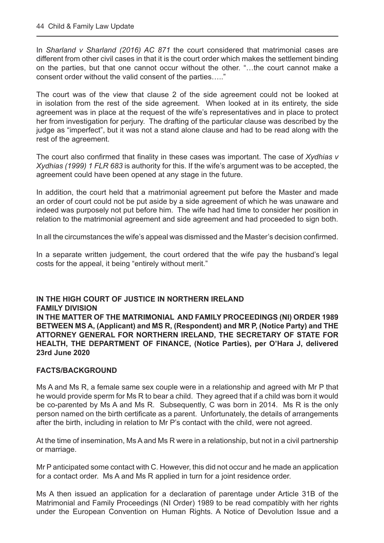In *Sharland v Sharland (2016) AC 871* the court considered that matrimonial cases are different from other civil cases in that it is the court order which makes the settlement binding on the parties, but that one cannot occur without the other. "…the court cannot make a consent order without the valid consent of the parties….."

The court was of the view that clause 2 of the side agreement could not be looked at in isolation from the rest of the side agreement. When looked at in its entirety, the side agreement was in place at the request of the wife's representatives and in place to protect her from investigation for perjury. The drafting of the particular clause was described by the judge as "imperfect", but it was not a stand alone clause and had to be read along with the rest of the agreement.

The court also confirmed that finality in these cases was important. The case of *Xydhias v Xydhias (1999) 1 FLR 683* is authority for this. If the wife's argument was to be accepted, the agreement could have been opened at any stage in the future.

In addition, the court held that a matrimonial agreement put before the Master and made an order of court could not be put aside by a side agreement of which he was unaware and indeed was purposely not put before him. The wife had had time to consider her position in relation to the matrimonial agreement and side agreement and had proceeded to sign both.

In all the circumstances the wife's appeal was dismissed and the Master's decision confirmed.

In a separate written judgement, the court ordered that the wife pay the husband's legal costs for the appeal, it being "entirely without merit."

#### **IN THE HIGH COURT OF JUSTICE IN NORTHERN IRELAND FAMILY DIVISION IN THE MATTER OF THE MATRIMONIAL AND FAMILY PROCEEDINGS (NI) ORDER 1989 BETWEEN MS A, (Applicant) and MS R, (Respondent) and MR P, (Notice Party) and THE ATTORNEY GENERAL FOR NORTHERN IRELAND, THE SECRETARY OF STATE FOR HEALTH, THE DEPARTMENT OF FINANCE, (Notice Parties), per O'Hara J, delivered 23rd June 2020**

#### **FACTS/BACKGROUND**

Ms A and Ms R, a female same sex couple were in a relationship and agreed with Mr P that he would provide sperm for Ms R to bear a child. They agreed that if a child was born it would be co-parented by Ms A and Ms R. Subsequently, C was born in 2014. Ms R is the only person named on the birth certificate as a parent. Unfortunately, the details of arrangements after the birth, including in relation to Mr P's contact with the child, were not agreed.

At the time of insemination, Ms A and Ms R were in a relationship, but not in a civil partnership or marriage.

Mr P anticipated some contact with C. However, this did not occur and he made an application for a contact order. Ms A and Ms R applied in turn for a joint residence order.

Ms A then issued an application for a declaration of parentage under Article 31B of the Matrimonial and Family Proceedings (NI Order) 1989 to be read compatibly with her rights under the European Convention on Human Rights. A Notice of Devolution Issue and a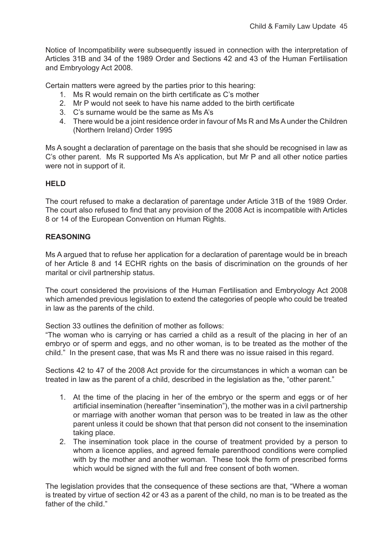Notice of Incompatibility were subsequently issued in connection with the interpretation of Articles 31B and 34 of the 1989 Order and Sections 42 and 43 of the Human Fertilisation and Embryology Act 2008.

Certain matters were agreed by the parties prior to this hearing:

- 1. Ms R would remain on the birth certificate as C's mother
- 2. Mr P would not seek to have his name added to the birth certificate
- 3. C's surname would be the same as Ms A's
- 4. There would be a joint residence order in favour of Ms R and Ms A under the Children (Northern Ireland) Order 1995

Ms A sought a declaration of parentage on the basis that she should be recognised in law as C's other parent. Ms R supported Ms A's application, but Mr P and all other notice parties were not in support of it.

#### **HELD**

The court refused to make a declaration of parentage under Article 31B of the 1989 Order. The court also refused to find that any provision of the 2008 Act is incompatible with Articles 8 or 14 of the European Convention on Human Rights.

#### **REASONING**

Ms A argued that to refuse her application for a declaration of parentage would be in breach of her Article 8 and 14 ECHR rights on the basis of discrimination on the grounds of her marital or civil partnership status.

The court considered the provisions of the Human Fertilisation and Embryology Act 2008 which amended previous legislation to extend the categories of people who could be treated in law as the parents of the child.

Section 33 outlines the definition of mother as follows:

"The woman who is carrying or has carried a child as a result of the placing in her of an embryo or of sperm and eggs, and no other woman, is to be treated as the mother of the child." In the present case, that was Ms R and there was no issue raised in this regard.

Sections 42 to 47 of the 2008 Act provide for the circumstances in which a woman can be treated in law as the parent of a child, described in the legislation as the, "other parent."

- 1. At the time of the placing in her of the embryo or the sperm and eggs or of her artificial insemination (hereafter "insemination"), the mother was in a civil partnership or marriage with another woman that person was to be treated in law as the other parent unless it could be shown that that person did not consent to the insemination taking place.
- 2. The insemination took place in the course of treatment provided by a person to whom a licence applies, and agreed female parenthood conditions were complied with by the mother and another woman. These took the form of prescribed forms which would be signed with the full and free consent of both women.

The legislation provides that the consequence of these sections are that, "Where a woman is treated by virtue of section 42 or 43 as a parent of the child, no man is to be treated as the father of the child."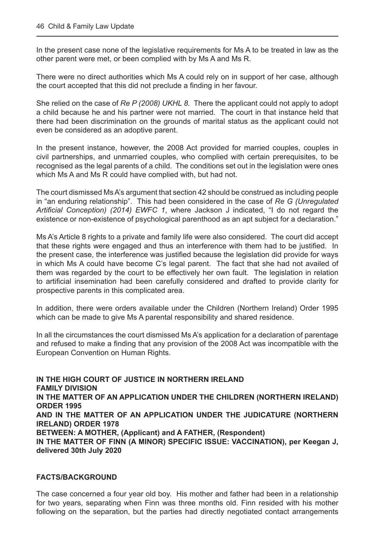In the present case none of the legislative requirements for Ms A to be treated in law as the other parent were met, or been complied with by Ms A and Ms R.

There were no direct authorities which Ms A could rely on in support of her case, although the court accepted that this did not preclude a finding in her favour.

She relied on the case of *Re P (2008) UKHL 8.* There the applicant could not apply to adopt a child because he and his partner were not married. The court in that instance held that there had been discrimination on the grounds of marital status as the applicant could not even be considered as an adoptive parent.

In the present instance, however, the 2008 Act provided for married couples, couples in civil partnerships, and unmarried couples, who complied with certain prerequisites, to be recognised as the legal parents of a child. The conditions set out in the legislation were ones which Ms A and Ms R could have complied with, but had not.

The court dismissed Ms A's argument that section 42 should be construed as including people in "an enduring relationship". This had been considered in the case of *Re G (Unregulated Artificial Conception) (2014) EWFC 1*, where Jackson J indicated, "I do not regard the existence or non-existence of psychological parenthood as an apt subject for a declaration."

Ms A's Article 8 rights to a private and family life were also considered. The court did accept that these rights were engaged and thus an interference with them had to be justified. In the present case, the interference was justified because the legislation did provide for ways in which Ms A could have become C's legal parent. The fact that she had not availed of them was regarded by the court to be effectively her own fault. The legislation in relation to artificial insemination had been carefully considered and drafted to provide clarity for prospective parents in this complicated area.

In addition, there were orders available under the Children (Northern Ireland) Order 1995 which can be made to give Ms A parental responsibility and shared residence.

In all the circumstances the court dismissed Ms A's application for a declaration of parentage and refused to make a finding that any provision of the 2008 Act was incompatible with the European Convention on Human Rights.

**IN THE HIGH COURT OF JUSTICE IN NORTHERN IRELAND FAMILY DIVISION IN THE MATTER OF AN APPLICATION UNDER THE CHILDREN (NORTHERN IRELAND) ORDER 1995 AND IN THE MATTER OF AN APPLICATION UNDER THE JUDICATURE (NORTHERN IRELAND) ORDER 1978 BETWEEN: A MOTHER, (Applicant) and A FATHER, (Respondent) IN THE MATTER OF FINN (A MINOR) SPECIFIC ISSUE: VACCINATION), per Keegan J, delivered 30th July 2020**

#### **FACTS/BACKGROUND**

The case concerned a four year old boy. His mother and father had been in a relationship for two years, separating when Finn was three months old. Finn resided with his mother following on the separation, but the parties had directly negotiated contact arrangements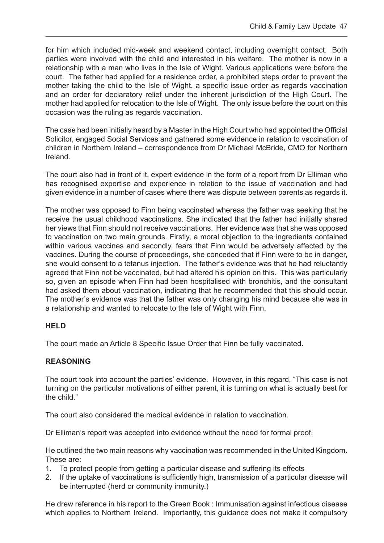for him which included mid-week and weekend contact, including overnight contact. Both parties were involved with the child and interested in his welfare. The mother is now in a relationship with a man who lives in the Isle of Wight. Various applications were before the court. The father had applied for a residence order, a prohibited steps order to prevent the mother taking the child to the Isle of Wight, a specific issue order as regards vaccination and an order for declaratory relief under the inherent jurisdiction of the High Court. The mother had applied for relocation to the Isle of Wight. The only issue before the court on this occasion was the ruling as regards vaccination.

The case had been initially heard by a Master in the High Court who had appointed the Official Solicitor, engaged Social Services and gathered some evidence in relation to vaccination of children in Northern Ireland – correspondence from Dr Michael McBride, CMO for Northern Ireland.

The court also had in front of it, expert evidence in the form of a report from Dr Elliman who has recognised expertise and experience in relation to the issue of vaccination and had given evidence in a number of cases where there was dispute between parents as regards it.

The mother was opposed to Finn being vaccinated whereas the father was seeking that he receive the usual childhood vaccinations. She indicated that the father had initially shared her views that Finn should not receive vaccinations. Her evidence was that she was opposed to vaccination on two main grounds. Firstly, a moral objection to the ingredients contained within various vaccines and secondly, fears that Finn would be adversely affected by the vaccines. During the course of proceedings, she conceded that if Finn were to be in danger, she would consent to a tetanus injection. The father's evidence was that he had reluctantly agreed that Finn not be vaccinated, but had altered his opinion on this. This was particularly so, given an episode when Finn had been hospitalised with bronchitis, and the consultant had asked them about vaccination, indicating that he recommended that this should occur. The mother's evidence was that the father was only changing his mind because she was in a relationship and wanted to relocate to the Isle of Wight with Finn.

#### **HELD**

The court made an Article 8 Specific Issue Order that Finn be fully vaccinated.

#### **REASONING**

The court took into account the parties' evidence. However, in this regard, "This case is not turning on the particular motivations of either parent, it is turning on what is actually best for the child."

The court also considered the medical evidence in relation to vaccination.

Dr Elliman's report was accepted into evidence without the need for formal proof.

He outlined the two main reasons why vaccination was recommended in the United Kingdom. These are:

- 1. To protect people from getting a particular disease and suffering its effects
- 2. If the uptake of vaccinations is sufficiently high, transmission of a particular disease will be interrupted (herd or community immunity.)

He drew reference in his report to the Green Book : Immunisation against infectious disease which applies to Northern Ireland. Importantly, this guidance does not make it compulsory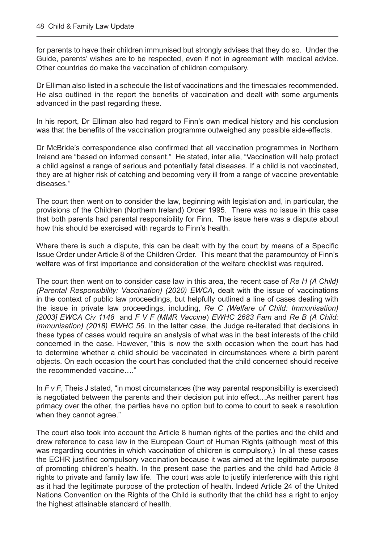for parents to have their children immunised but strongly advises that they do so. Under the Guide, parents' wishes are to be respected, even if not in agreement with medical advice. Other countries do make the vaccination of children compulsory.

Dr Elliman also listed in a schedule the list of vaccinations and the timescales recommended. He also outlined in the report the benefits of vaccination and dealt with some arguments advanced in the past regarding these.

In his report, Dr Elliman also had regard to Finn's own medical history and his conclusion was that the benefits of the vaccination programme outweighed any possible side-effects.

Dr McBride's correspondence also confirmed that all vaccination programmes in Northern Ireland are "based on informed consent." He stated, inter alia, "Vaccination will help protect a child against a range of serious and potentially fatal diseases. If a child is not vaccinated, they are at higher risk of catching and becoming very ill from a range of vaccine preventable diseases."

The court then went on to consider the law, beginning with legislation and, in particular, the provisions of the Children (Northern Ireland) Order 1995. There was no issue in this case that both parents had parental responsibility for Finn. The issue here was a dispute about how this should be exercised with regards to Finn's health.

Where there is such a dispute, this can be dealt with by the court by means of a Specific Issue Order under Article 8 of the Children Order. This meant that the paramountcy of Finn's welfare was of first importance and consideration of the welfare checklist was required.

The court then went on to consider case law in this area, the recent case of *Re H (A Child) (Parental Responsibility: Vaccination) (2020) EWCA*, dealt with the issue of vaccinations in the context of public law proceedings, but helpfully outlined a line of cases dealing with the issue in private law proceedings, including, *Re C (Welfare of Child: Immunisation) [2003] EWCA Civ 1148* and *F V F (MMR Vaccine*) *EWHC 2683 Fam* and *Re B (A Child: Immunisation) (2018) EWHC 56*. In the latter case, the Judge re-iterated that decisions in these types of cases would require an analysis of what was in the best interests of the child concerned in the case. However, "this is now the sixth occasion when the court has had to determine whether a child should be vaccinated in circumstances where a birth parent objects. On each occasion the court has concluded that the child concerned should receive the recommended vaccine…."

In *F v F*, Theis J stated, "in most circumstances (the way parental responsibility is exercised) is negotiated between the parents and their decision put into effect…As neither parent has primacy over the other, the parties have no option but to come to court to seek a resolution when they cannot agree."

The court also took into account the Article 8 human rights of the parties and the child and drew reference to case law in the European Court of Human Rights (although most of this was regarding countries in which vaccination of children is compulsory.) In all these cases the ECHR justified compulsory vaccination because it was aimed at the legitimate purpose of promoting children's health. In the present case the parties and the child had Article 8 rights to private and family law life. The court was able to justify interference with this right as it had the legitimate purpose of the protection of health. Indeed Article 24 of the United Nations Convention on the Rights of the Child is authority that the child has a right to enjoy the highest attainable standard of health.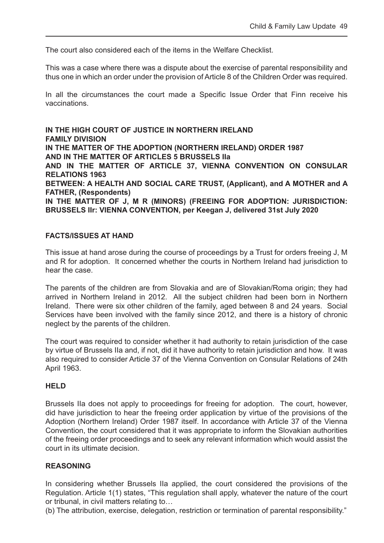The court also considered each of the items in the Welfare Checklist.

This was a case where there was a dispute about the exercise of parental responsibility and thus one in which an order under the provision of Article 8 of the Children Order was required.

In all the circumstances the court made a Specific Issue Order that Finn receive his vaccinations.

**IN THE HIGH COURT OF JUSTICE IN NORTHERN IRELAND FAMILY DIVISION IN THE MATTER OF THE ADOPTION (NORTHERN IRELAND) ORDER 1987 AND IN THE MATTER OF ARTICLES 5 BRUSSELS IIa AND IN THE MATTER OF ARTICLE 37, VIENNA CONVENTION ON CONSULAR RELATIONS 1963 BETWEEN: A HEALTH AND SOCIAL CARE TRUST, (Applicant), and A MOTHER and A FATHER, (Respondents) IN THE MATTER OF J, M R (MINORS) (FREEING FOR ADOPTION: JURISDICTION: BRUSSELS IIr: VIENNA CONVENTION, per Keegan J, delivered 31st July 2020**

#### **FACTS/ISSUES AT HAND**

This issue at hand arose during the course of proceedings by a Trust for orders freeing J, M and R for adoption. It concerned whether the courts in Northern Ireland had jurisdiction to hear the case.

The parents of the children are from Slovakia and are of Slovakian/Roma origin; they had arrived in Northern Ireland in 2012. All the subject children had been born in Northern Ireland. There were six other children of the family, aged between 8 and 24 years. Social Services have been involved with the family since 2012, and there is a history of chronic neglect by the parents of the children.

The court was required to consider whether it had authority to retain jurisdiction of the case by virtue of Brussels IIa and, if not, did it have authority to retain jurisdiction and how. It was also required to consider Article 37 of the Vienna Convention on Consular Relations of 24th April 1963.

#### **HELD**

Brussels IIa does not apply to proceedings for freeing for adoption. The court, however, did have jurisdiction to hear the freeing order application by virtue of the provisions of the Adoption (Northern Ireland) Order 1987 itself. In accordance with Article 37 of the Vienna Convention, the court considered that it was appropriate to inform the Slovakian authorities of the freeing order proceedings and to seek any relevant information which would assist the court in its ultimate decision.

#### **REASONING**

In considering whether Brussels IIa applied, the court considered the provisions of the Regulation. Article 1(1) states, "This regulation shall apply, whatever the nature of the court or tribunal, in civil matters relating to…

(b) The attribution, exercise, delegation, restriction or termination of parental responsibility."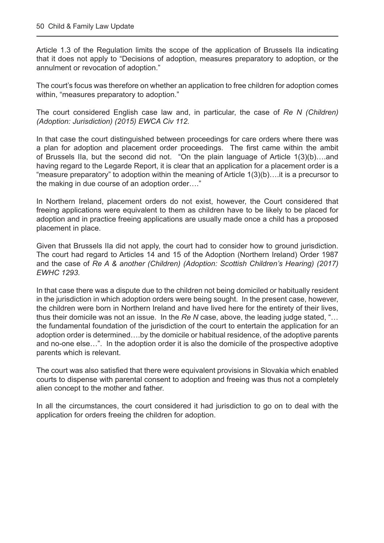Article 1.3 of the Regulation limits the scope of the application of Brussels IIa indicating that it does not apply to "Decisions of adoption, measures preparatory to adoption, or the annulment or revocation of adoption."

The court's focus was therefore on whether an application to free children for adoption comes within, "measures preparatory to adoption."

The court considered English case law and, in particular, the case of *Re N (Children) (Adoption: Jurisdiction) (2015) EWCA Civ 112.* 

In that case the court distinguished between proceedings for care orders where there was a plan for adoption and placement order proceedings. The first came within the ambit of Brussels IIa, but the second did not. "On the plain language of Article 1(3)(b)….and having regard to the Legarde Report, it is clear that an application for a placement order is a "measure preparatory" to adoption within the meaning of Article 1(3)(b)….it is a precursor to the making in due course of an adoption order…."

In Northern Ireland, placement orders do not exist, however, the Court considered that freeing applications were equivalent to them as children have to be likely to be placed for adoption and in practice freeing applications are usually made once a child has a proposed placement in place.

Given that Brussels IIa did not apply, the court had to consider how to ground jurisdiction. The court had regard to Articles 14 and 15 of the Adoption (Northern Ireland) Order 1987 and the case of *Re A & another (Children) (Adoption: Scottish Children's Hearing) (2017) EWHC 1293.* 

In that case there was a dispute due to the children not being domiciled or habitually resident in the jurisdiction in which adoption orders were being sought. In the present case, however, the children were born in Northern Ireland and have lived here for the entirety of their lives, thus their domicile was not an issue. In the *Re N* case, above, the leading judge stated, "… the fundamental foundation of the jurisdiction of the court to entertain the application for an adoption order is determined….by the domicile or habitual residence, of the adoptive parents and no-one else…". In the adoption order it is also the domicile of the prospective adoptive parents which is relevant.

The court was also satisfied that there were equivalent provisions in Slovakia which enabled courts to dispense with parental consent to adoption and freeing was thus not a completely alien concept to the mother and father.

In all the circumstances, the court considered it had jurisdiction to go on to deal with the application for orders freeing the children for adoption.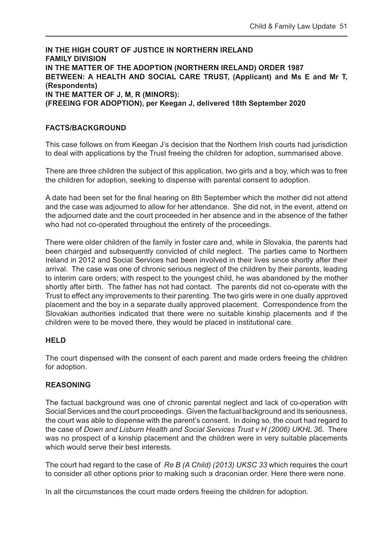**IN THE HIGH COURT OF JUSTICE IN NORTHERN IRELAND FAMILY DIVISION IN THE MATTER OF THE ADOPTION (NORTHERN IRELAND) ORDER 1987 BETWEEN: A HEALTH AND SOCIAL CARE TRUST, (Applicant) and Ms E and Mr T, (Respondents) IN THE MATTER OF J, M, R (MINORS): (FREEING FOR ADOPTION), per Keegan J, delivered 18th September 2020**

#### **FACTS/BACKGROUND**

This case follows on from Keegan J's decision that the Northern Irish courts had jurisdiction to deal with applications by the Trust freeing the children for adoption, summarised above.

There are three children the subject of this application, two girls and a boy, which was to free the children for adoption, seeking to dispense with parental consent to adoption.

A date had been set for the final hearing on 8th September which the mother did not attend and the case was adjourned to allow for her attendance. She did not, in the event, attend on the adjourned date and the court proceeded in her absence and in the absence of the father who had not co-operated throughout the entirety of the proceedings.

There were older children of the family in foster care and, while in Slovakia, the parents had been charged and subsequently convicted of child neglect. The parties came to Northern Ireland in 2012 and Social Services had been involved in their lives since shortly after their arrival. The case was one of chronic serious neglect of the children by their parents, leading to interim care orders; with respect to the youngest child, he was abandoned by the mother shortly after birth. The father has not had contact. The parents did not co-operate with the Trust to effect any improvements to their parenting. The two girls were in one dually approved placement and the boy in a separate dually approved placement. Correspondence from the Slovakian authorities indicated that there were no suitable kinship placements and if the children were to be moved there, they would be placed in institutional care.

#### **HELD**

The court dispensed with the consent of each parent and made orders freeing the children for adoption.

#### **REASONING**

The factual background was one of chronic parental neglect and lack of co-operation with Social Services and the court proceedings. Given the factual background and its seriousness, the court was able to dispense with the parent's consent. In doing so, the court had regard to the case of *Down and Lisburn Health and Social Services Trust v H (2006) UKHL 36.* There was no prospect of a kinship placement and the children were in very suitable placements which would serve their best interests.

The court had regard to the case of *Re B (A Child) (2013) UKSC 33* which requires the court to consider all other options prior to making such a draconian order. Here there were none.

In all the circumstances the court made orders freeing the children for adoption.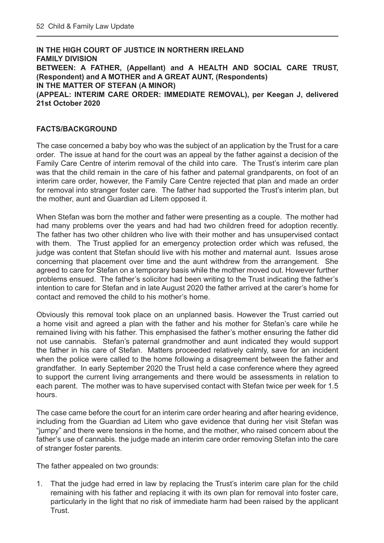**IN THE HIGH COURT OF JUSTICE IN NORTHERN IRELAND FAMILY DIVISION BETWEEN: A FATHER, (Appellant) and A HEALTH AND SOCIAL CARE TRUST, (Respondent) and A MOTHER and A GREAT AUNT, (Respondents) IN THE MATTER OF STEFAN (A MINOR) (APPEAL: INTERIM CARE ORDER: IMMEDIATE REMOVAL), per Keegan J, delivered 21st October 2020**

#### **FACTS/BACKGROUND**

The case concerned a baby boy who was the subject of an application by the Trust for a care order. The issue at hand for the court was an appeal by the father against a decision of the Family Care Centre of interim removal of the child into care. The Trust's interim care plan was that the child remain in the care of his father and paternal grandparents, on foot of an interim care order, however, the Family Care Centre rejected that plan and made an order for removal into stranger foster care. The father had supported the Trust's interim plan, but the mother, aunt and Guardian ad Litem opposed it.

When Stefan was born the mother and father were presenting as a couple. The mother had had many problems over the years and had had two children freed for adoption recently. The father has two other children who live with their mother and has unsupervised contact with them. The Trust applied for an emergency protection order which was refused, the judge was content that Stefan should live with his mother and maternal aunt. Issues arose concerning that placement over time and the aunt withdrew from the arrangement. She agreed to care for Stefan on a temporary basis while the mother moved out. However further problems ensued. The father's solicitor had been writing to the Trust indicating the father's intention to care for Stefan and in late August 2020 the father arrived at the carer's home for contact and removed the child to his mother's home.

Obviously this removal took place on an unplanned basis. However the Trust carried out a home visit and agreed a plan with the father and his mother for Stefan's care while he remained living with his father. This emphasised the father's mother ensuring the father did not use cannabis. Stefan's paternal grandmother and aunt indicated they would support the father in his care of Stefan. Matters proceeded relatively calmly, save for an incident when the police were called to the home following a disagreement between the father and grandfather. In early September 2020 the Trust held a case conference where they agreed to support the current living arrangements and there would be assessments in relation to each parent. The mother was to have supervised contact with Stefan twice per week for 1.5 hours.

The case came before the court for an interim care order hearing and after hearing evidence, including from the Guardian ad Litem who gave evidence that during her visit Stefan was "jumpy" and there were tensions in the home, and the mother, who raised concern about the father's use of cannabis. the judge made an interim care order removing Stefan into the care of stranger foster parents.

The father appealed on two grounds:

1. That the judge had erred in law by replacing the Trust's interim care plan for the child remaining with his father and replacing it with its own plan for removal into foster care, particularly in the light that no risk of immediate harm had been raised by the applicant Trust.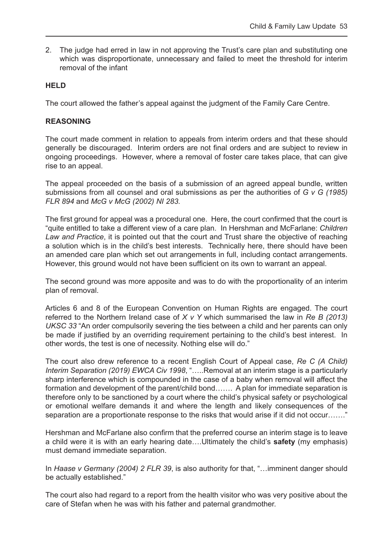2. The judge had erred in law in not approving the Trust's care plan and substituting one which was disproportionate, unnecessary and failed to meet the threshold for interim removal of the infant

#### **HELD**

The court allowed the father's appeal against the judgment of the Family Care Centre.

#### **REASONING**

The court made comment in relation to appeals from interim orders and that these should generally be discouraged. Interim orders are not final orders and are subject to review in ongoing proceedings. However, where a removal of foster care takes place, that can give rise to an appeal.

The appeal proceeded on the basis of a submission of an agreed appeal bundle, written submissions from all counsel and oral submissions as per the authorities of *G v G (1985) FLR 894* and *McG v McG (2002) NI 283.*

The first ground for appeal was a procedural one. Here, the court confirmed that the court is "quite entitled to take a different view of a care plan. In Hershman and McFarlane: *Children Law and Practice*, it is pointed out that the court and Trust share the objective of reaching a solution which is in the child's best interests. Technically here, there should have been an amended care plan which set out arrangements in full, including contact arrangements. However, this ground would not have been sufficient on its own to warrant an appeal.

The second ground was more apposite and was to do with the proportionality of an interim plan of removal.

Articles 6 and 8 of the European Convention on Human Rights are engaged. The court referred to the Northern Ireland case of *X v Y* which summarised the law in *Re B (2013) UKSC 33* "An order compulsorily severing the ties between a child and her parents can only be made if justified by an overriding requirement pertaining to the child's best interest. In other words, the test is one of necessity. Nothing else will do."

The court also drew reference to a recent English Court of Appeal case, *Re C (A Child) Interim Separation (2019) EWCA Civ 1998*, ".....Removal at an interim stage is a particularly sharp interference which is compounded in the case of a baby when removal will affect the formation and development of the parent/child bond……. A plan for immediate separation is therefore only to be sanctioned by a court where the child's physical safety or psychological or emotional welfare demands it and where the length and likely consequences of the separation are a proportionate response to the risks that would arise if it did not occur……."

Hershman and McFarlane also confirm that the preferred course an interim stage is to leave a child were it is with an early hearing date….Ultimately the child's **safety** (my emphasis) must demand immediate separation.

In *Haase v Germany (2004) 2 FLR 39*, is also authority for that, "…imminent danger should be actually established."

The court also had regard to a report from the health visitor who was very positive about the care of Stefan when he was with his father and paternal grandmother.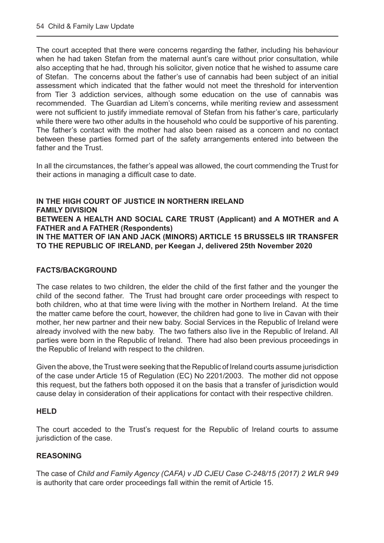The court accepted that there were concerns regarding the father, including his behaviour when he had taken Stefan from the maternal aunt's care without prior consultation, while also accepting that he had, through his solicitor, given notice that he wished to assume care of Stefan. The concerns about the father's use of cannabis had been subject of an initial assessment which indicated that the father would not meet the threshold for intervention from Tier 3 addiction services, although some education on the use of cannabis was recommended. The Guardian ad Litem's concerns, while meriting review and assessment were not sufficient to justify immediate removal of Stefan from his father's care, particularly while there were two other adults in the household who could be supportive of his parenting. The father's contact with the mother had also been raised as a concern and no contact between these parties formed part of the safety arrangements entered into between the father and the Trust.

In all the circumstances, the father's appeal was allowed, the court commending the Trust for their actions in managing a difficult case to date.

#### **IN THE HIGH COURT OF JUSTICE IN NORTHERN IRELAND FAMILY DIVISION BETWEEN A HEALTH AND SOCIAL CARE TRUST (Applicant) and A MOTHER and A FATHER and A FATHER (Respondents) IN THE MATTER OF IAN AND JACK (MINORS) ARTICLE 15 BRUSSELS IIR TRANSFER TO THE REPUBLIC OF IRELAND, per Keegan J, delivered 25th November 2020**

#### **FACTS/BACKGROUND**

The case relates to two children, the elder the child of the first father and the younger the child of the second father. The Trust had brought care order proceedings with respect to both children, who at that time were living with the mother in Northern Ireland. At the time the matter came before the court, however, the children had gone to live in Cavan with their mother, her new partner and their new baby. Social Services in the Republic of Ireland were already involved with the new baby. The two fathers also live in the Republic of Ireland. All parties were born in the Republic of Ireland. There had also been previous proceedings in the Republic of Ireland with respect to the children.

Given the above, the Trust were seeking that the Republic of Ireland courts assume jurisdiction of the case under Article 15 of Regulation (EC) No 2201/2003. The mother did not oppose this request, but the fathers both opposed it on the basis that a transfer of jurisdiction would cause delay in consideration of their applications for contact with their respective children.

#### **HELD**

The court acceded to the Trust's request for the Republic of Ireland courts to assume jurisdiction of the case.

#### **REASONING**

The case of *Child and Family Agency (CAFA) v JD CJEU Case C-248/15 (2017) 2 WLR 949* is authority that care order proceedings fall within the remit of Article 15.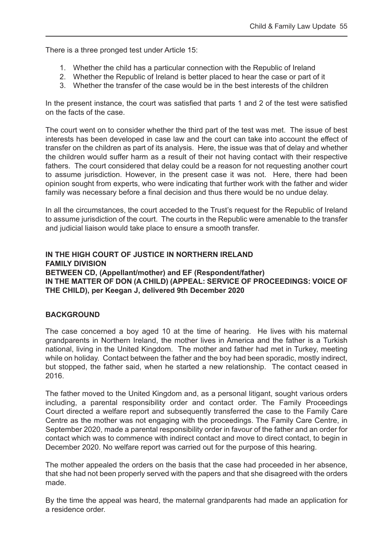There is a three pronged test under Article 15:

- 1. Whether the child has a particular connection with the Republic of Ireland
- 2. Whether the Republic of Ireland is better placed to hear the case or part of it
- 3. Whether the transfer of the case would be in the best interests of the children

In the present instance, the court was satisfied that parts 1 and 2 of the test were satisfied on the facts of the case.

The court went on to consider whether the third part of the test was met. The issue of best interests has been developed in case law and the court can take into account the effect of transfer on the children as part of its analysis. Here, the issue was that of delay and whether the children would suffer harm as a result of their not having contact with their respective fathers. The court considered that delay could be a reason for not requesting another court to assume jurisdiction. However, in the present case it was not. Here, there had been opinion sought from experts, who were indicating that further work with the father and wider family was necessary before a final decision and thus there would be no undue delay.

In all the circumstances, the court acceded to the Trust's request for the Republic of Ireland to assume jurisdiction of the court. The courts in the Republic were amenable to the transfer and judicial liaison would take place to ensure a smooth transfer.

#### **IN THE HIGH COURT OF JUSTICE IN NORTHERN IRELAND FAMILY DIVISION BETWEEN CD, (Appellant/mother) and EF (Respondent/father) IN THE MATTER OF DON (A CHILD) (APPEAL: SERVICE OF PROCEEDINGS: VOICE OF THE CHILD), per Keegan J, delivered 9th December 2020**

#### **BACKGROUND**

The case concerned a boy aged 10 at the time of hearing. He lives with his maternal grandparents in Northern Ireland, the mother lives in America and the father is a Turkish national, living in the United Kingdom. The mother and father had met in Turkey, meeting while on holiday. Contact between the father and the boy had been sporadic, mostly indirect, but stopped, the father said, when he started a new relationship. The contact ceased in 2016.

The father moved to the United Kingdom and, as a personal litigant, sought various orders including, a parental responsibility order and contact order. The Family Proceedings Court directed a welfare report and subsequently transferred the case to the Family Care Centre as the mother was not engaging with the proceedings. The Family Care Centre, in September 2020, made a parental responsibility order in favour of the father and an order for contact which was to commence with indirect contact and move to direct contact, to begin in December 2020. No welfare report was carried out for the purpose of this hearing.

The mother appealed the orders on the basis that the case had proceeded in her absence, that she had not been properly served with the papers and that she disagreed with the orders made.

By the time the appeal was heard, the maternal grandparents had made an application for a residence order.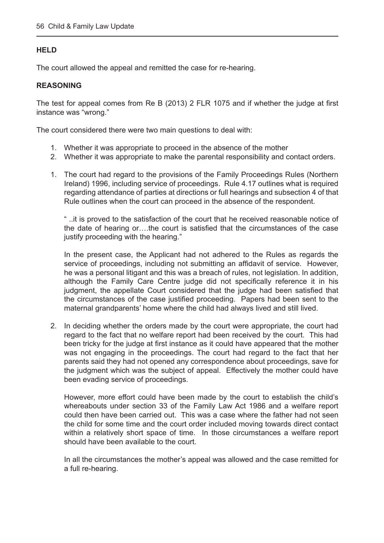#### **HELD**

The court allowed the appeal and remitted the case for re-hearing.

#### **REASONING**

The test for appeal comes from Re B (2013) 2 FLR 1075 and if whether the judge at first instance was "wrong."

The court considered there were two main questions to deal with:

- 1. Whether it was appropriate to proceed in the absence of the mother
- 2. Whether it was appropriate to make the parental responsibility and contact orders.
- 1. The court had regard to the provisions of the Family Proceedings Rules (Northern Ireland) 1996, including service of proceedings. Rule 4.17 outlines what is required regarding attendance of parties at directions or full hearings and subsection 4 of that Rule outlines when the court can proceed in the absence of the respondent.

" ..it is proved to the satisfaction of the court that he received reasonable notice of the date of hearing or….the court is satisfied that the circumstances of the case justify proceeding with the hearing."

In the present case, the Applicant had not adhered to the Rules as regards the service of proceedings, including not submitting an affidavit of service. However, he was a personal litigant and this was a breach of rules, not legislation. In addition, although the Family Care Centre judge did not specifically reference it in his judgment, the appellate Court considered that the judge had been satisfied that the circumstances of the case justified proceeding. Papers had been sent to the maternal grandparents' home where the child had always lived and still lived.

2. In deciding whether the orders made by the court were appropriate, the court had regard to the fact that no welfare report had been received by the court. This had been tricky for the judge at first instance as it could have appeared that the mother was not engaging in the proceedings. The court had regard to the fact that her parents said they had not opened any correspondence about proceedings, save for the judgment which was the subject of appeal. Effectively the mother could have been evading service of proceedings.

However, more effort could have been made by the court to establish the child's whereabouts under section 33 of the Family Law Act 1986 and a welfare report could then have been carried out. This was a case where the father had not seen the child for some time and the court order included moving towards direct contact within a relatively short space of time. In those circumstances a welfare report should have been available to the court.

In all the circumstances the mother's appeal was allowed and the case remitted for a full re-hearing.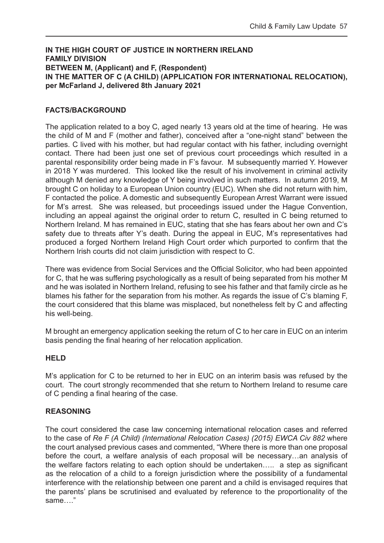#### **IN THE HIGH COURT OF JUSTICE IN NORTHERN IRELAND FAMILY DIVISION BETWEEN M, (Applicant) and F, (Respondent) IN THE MATTER OF C (A CHILD) (APPLICATION FOR INTERNATIONAL RELOCATION), per McFarland J, delivered 8th January 2021**

#### **FACTS/BACKGROUND**

The application related to a boy C, aged nearly 13 years old at the time of hearing. He was the child of M and F (mother and father), conceived after a "one-night stand" between the parties. C lived with his mother, but had regular contact with his father, including overnight contact. There had been just one set of previous court proceedings which resulted in a parental responsibility order being made in F's favour. M subsequently married Y. However in 2018 Y was murdered. This looked like the result of his involvement in criminal activity although M denied any knowledge of Y being involved in such matters. In autumn 2019, M brought C on holiday to a European Union country (EUC). When she did not return with him, F contacted the police. A domestic and subsequently European Arrest Warrant were issued for M's arrest. She was released, but proceedings issued under the Hague Convention, including an appeal against the original order to return C, resulted in C being returned to Northern Ireland. M has remained in EUC, stating that she has fears about her own and C's safety due to threats after Y's death. During the appeal in EUC, M's representatives had produced a forged Northern Ireland High Court order which purported to confirm that the Northern Irish courts did not claim jurisdiction with respect to C.

There was evidence from Social Services and the Official Solicitor, who had been appointed for C, that he was suffering psychologically as a result of being separated from his mother M and he was isolated in Northern Ireland, refusing to see his father and that family circle as he blames his father for the separation from his mother. As regards the issue of C's blaming F, the court considered that this blame was misplaced, but nonetheless felt by C and affecting his well-being.

M brought an emergency application seeking the return of C to her care in EUC on an interim basis pending the final hearing of her relocation application.

#### **HELD**

M's application for C to be returned to her in EUC on an interim basis was refused by the court. The court strongly recommended that she return to Northern Ireland to resume care of C pending a final hearing of the case.

#### **REASONING**

The court considered the case law concerning international relocation cases and referred to the case of *Re F (A Child) (International Relocation Cases) (2015) EWCA Civ 882* where the court analysed previous cases and commented, "Where there is more than one proposal before the court, a welfare analysis of each proposal will be necessary…an analysis of the welfare factors relating to each option should be undertaken….. a step as significant as the relocation of a child to a foreign jurisdiction where the possibility of a fundamental interference with the relationship between one parent and a child is envisaged requires that the parents' plans be scrutinised and evaluated by reference to the proportionality of the same…."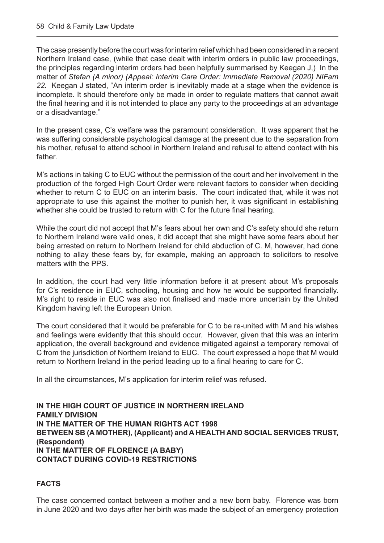The case presently before the court was for interim relief which had been considered in a recent Northern Ireland case, (while that case dealt with interim orders in public law proceedings, the principles regarding interim orders had been helpfully summarised by Keegan J,) In the matter of *Stefan (A minor) (Appeal: Interim Care Order: Immediate Removal (2020) NIFam 22.* Keegan J stated, "An interim order is inevitably made at a stage when the evidence is incomplete. It should therefore only be made in order to regulate matters that cannot await the final hearing and it is not intended to place any party to the proceedings at an advantage or a disadvantage."

In the present case, C's welfare was the paramount consideration. It was apparent that he was suffering considerable psychological damage at the present due to the separation from his mother, refusal to attend school in Northern Ireland and refusal to attend contact with his father.

M's actions in taking C to EUC without the permission of the court and her involvement in the production of the forged High Court Order were relevant factors to consider when deciding whether to return C to EUC on an interim basis. The court indicated that, while it was not appropriate to use this against the mother to punish her, it was significant in establishing whether she could be trusted to return with C for the future final hearing.

While the court did not accept that M's fears about her own and C's safety should she return to Northern Ireland were valid ones, it did accept that she might have some fears about her being arrested on return to Northern Ireland for child abduction of C. M, however, had done nothing to allay these fears by, for example, making an approach to solicitors to resolve matters with the PPS.

In addition, the court had very little information before it at present about M's proposals for C's residence in EUC, schooling, housing and how he would be supported financially. M's right to reside in EUC was also not finalised and made more uncertain by the United Kingdom having left the European Union.

The court considered that it would be preferable for C to be re-united with M and his wishes and feelings were evidently that this should occur. However, given that this was an interim application, the overall background and evidence mitigated against a temporary removal of C from the jurisdiction of Northern Ireland to EUC. The court expressed a hope that M would return to Northern Ireland in the period leading up to a final hearing to care for C.

In all the circumstances, M's application for interim relief was refused.

**IN THE HIGH COURT OF JUSTICE IN NORTHERN IRELAND FAMILY DIVISION IN THE MATTER OF THE HUMAN RIGHTS ACT 1998 BETWEEN SB (A MOTHER), (Applicant) and A HEALTH AND SOCIAL SERVICES TRUST, (Respondent) IN THE MATTER OF FLORENCE (A BABY) CONTACT DURING COVID-19 RESTRICTIONS**

#### **FACTS**

The case concerned contact between a mother and a new born baby. Florence was born in June 2020 and two days after her birth was made the subject of an emergency protection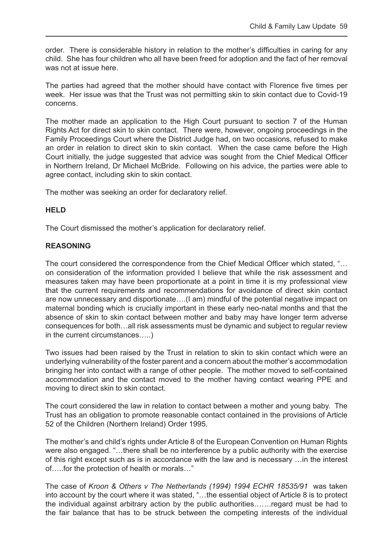order. There is considerable history in relation to the mother's difficulties in caring for any child. She has four children who all have been freed for adoption and the fact of her removal was not at issue here.

The parties had agreed that the mother should have contact with Florence five times per week. Her issue was that the Trust was not permitting skin to skin contact due to Covid-19 concerns.

The mother made an application to the High Court pursuant to section 7 of the Human Rights Act for direct skin to skin contact. There were, however, ongoing proceedings in the Family Proceedings Court where the District Judge had, on two occasions, refused to make an order in relation to direct skin to skin contact. When the case came before the High Court initially, the judge suggested that advice was sought from the Chief Medical Officer in Northern Ireland, Dr Michael McBride. Following on his advice, the parties were able to agree contact, including skin to skin contact.

The mother was seeking an order for declaratory relief.

#### **HELD**

The Court dismissed the mother's application for declaratory relief.

#### **REASONING**

The court considered the correspondence from the Chief Medical Officer which stated, "… on consideration of the information provided I believe that while the risk assessment and measures taken may have been proportionate at a point in time it is my professional view that the current requirements and recommendations for avoidance of direct skin contact are now unnecessary and disportionate….(I am) mindful of the potential negative impact on maternal bonding which is crucially important in these early neo-natal months and that the absence of skin to skin contact between mother and baby may have longer term adverse consequences for both…all risk assessments must be dynamic and subject to regular review in the current circumstances…..)

Two issues had been raised by the Trust in relation to skin to skin contact which were an underlying vulnerability of the foster parent and a concern about the mother's accommodation bringing her into contact with a range of other people. The mother moved to self-contained accommodation and the contact moved to the mother having contact wearing PPE and moving to direct skin to skin contact.

The court considered the law in relation to contact between a mother and young baby. The Trust has an obligation to promote reasonable contact contained in the provisions of Article 52 of the Children (Northern Ireland) Order 1995.

The mother's and child's rights under Article 8 of the European Convention on Human Rights were also engaged. "…there shall be no interference by a public authority with the exercise of this right except such as is in accordance with the law and is necessary …in the interest of…..for the protection of health or morals…"

The case of *Kroon & Others v The Netherlands (1994) 1994 ECHR 18535/91* was taken into account by the court where it was stated, "…the essential object of Article 8 is to protect the individual against arbitrary action by the public authorities…….regard must be had to the fair balance that has to be struck between the competing interests of the individual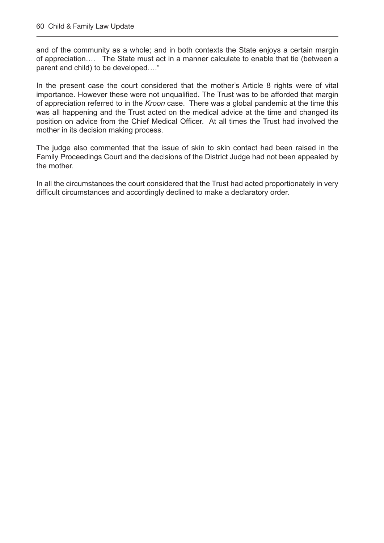and of the community as a whole; and in both contexts the State enjoys a certain margin of appreciation…. The State must act in a manner calculate to enable that tie (between a parent and child) to be developed…."

In the present case the court considered that the mother's Article 8 rights were of vital importance. However these were not unqualified. The Trust was to be afforded that margin of appreciation referred to in the *Kroon* case. There was a global pandemic at the time this was all happening and the Trust acted on the medical advice at the time and changed its position on advice from the Chief Medical Officer. At all times the Trust had involved the mother in its decision making process.

The judge also commented that the issue of skin to skin contact had been raised in the Family Proceedings Court and the decisions of the District Judge had not been appealed by the mother.

In all the circumstances the court considered that the Trust had acted proportionately in very difficult circumstances and accordingly declined to make a declaratory order.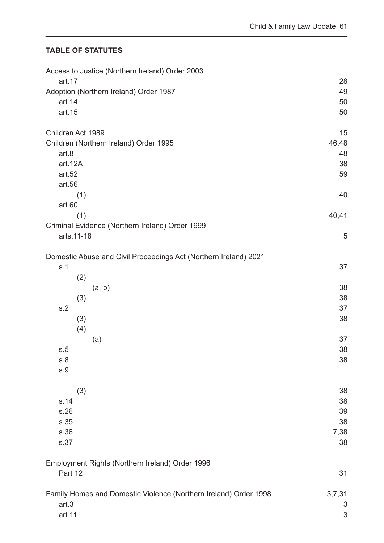#### <span id="page-61-0"></span>**TABLE OF STATUTES**

| Access to Justice (Northern Ireland) Order 2003                  |            |
|------------------------------------------------------------------|------------|
| art.17                                                           | 28         |
| Adoption (Northern Ireland) Order 1987<br>art.14                 | 49<br>50   |
| art.15                                                           | 50         |
|                                                                  |            |
| Children Act 1989                                                | 15         |
| Children (Northern Ireland) Order 1995                           | 46,48      |
| art.8                                                            | 48         |
| art.12A                                                          | 38         |
| art.52                                                           | 59         |
| art.56                                                           |            |
| (1)                                                              | 40         |
| art.60                                                           |            |
| (1)                                                              | 40,41      |
| Criminal Evidence (Northern Ireland) Order 1999<br>arts.11-18    | 5          |
|                                                                  |            |
| Domestic Abuse and Civil Proceedings Act (Northern Ireland) 2021 |            |
| s.1                                                              | 37         |
| (2)                                                              |            |
| (a, b)                                                           | 38         |
| (3)                                                              | 38         |
| s.2                                                              | 37         |
| (3)                                                              | 38         |
| (4)                                                              |            |
| (a)                                                              | 37         |
| s.5                                                              | 38         |
| s.8                                                              | 38         |
| s.9                                                              |            |
|                                                                  |            |
| (3)                                                              | 38         |
| s.14                                                             | 38         |
| s.26                                                             | 39         |
| s.35<br>s.36                                                     | 38         |
| s.37                                                             | 7,38<br>38 |
|                                                                  |            |
| Employment Rights (Northern Ireland) Order 1996                  |            |
| Part 12                                                          | 31         |
|                                                                  |            |
| Family Homes and Domestic Violence (Northern Ireland) Order 1998 | 3,7,31     |
| art.3                                                            | 3          |
| art.11                                                           | 3          |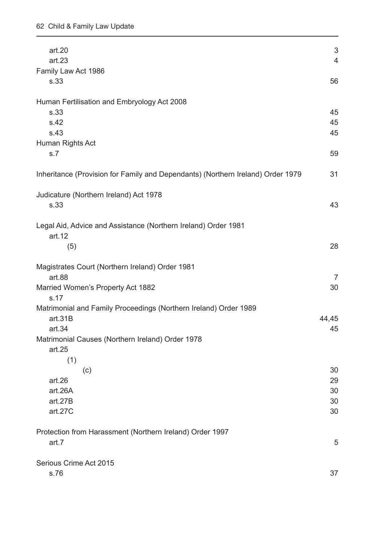| art.20<br>art.23                                                                                                                                    | $\mathfrak{S}$<br>$\overline{4}$ |
|-----------------------------------------------------------------------------------------------------------------------------------------------------|----------------------------------|
| Family Law Act 1986<br>s.33                                                                                                                         | 56                               |
| Human Fertilisation and Embryology Act 2008<br>s.33<br>s.42<br>s.43                                                                                 | 45<br>45<br>45                   |
| Human Rights Act<br>s.7                                                                                                                             | 59                               |
| Inheritance (Provision for Family and Dependants) (Northern Ireland) Order 1979                                                                     | 31                               |
| Judicature (Northern Ireland) Act 1978<br>s.33                                                                                                      | 43                               |
| Legal Aid, Advice and Assistance (Northern Ireland) Order 1981<br>art.12<br>(5)                                                                     | 28                               |
| Magistrates Court (Northern Ireland) Order 1981<br>art.88                                                                                           | $\overline{7}$                   |
| Married Women's Property Act 1882<br>s.17                                                                                                           | 30                               |
| Matrimonial and Family Proceedings (Northern Ireland) Order 1989<br>art.31B<br>art 34<br>Matrimonial Causes (Northern Ireland) Order 1978<br>art.25 | 44,45<br>45                      |
| (1)<br>(c)<br>art.26<br>art.26A<br>art.27B<br>art.27C                                                                                               | 30<br>29<br>30<br>30<br>30       |
| Protection from Harassment (Northern Ireland) Order 1997<br>art.7                                                                                   | 5                                |
| Serious Crime Act 2015<br>s.76                                                                                                                      | 37                               |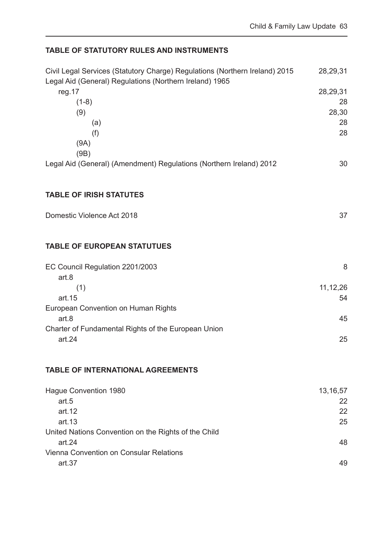#### **TABLE OF STATUTORY RULES AND INSTRUMENTS**

| Civil Legal Services (Statutory Charge) Regulations (Northern Ireland) 2015<br>Legal Aid (General) Regulations (Northern Ireland) 1965 | 28,29,31         |
|----------------------------------------------------------------------------------------------------------------------------------------|------------------|
| reg.17                                                                                                                                 | 28,29,31         |
| $(1-8)$                                                                                                                                | 28               |
| (9)                                                                                                                                    | 28,30            |
| (a)                                                                                                                                    | 28               |
| (f)                                                                                                                                    | 28               |
| (9A)                                                                                                                                   |                  |
| (9B)                                                                                                                                   |                  |
| Legal Aid (General) (Amendment) Regulations (Northern Ireland) 2012                                                                    | 30               |
| <b>TABLE OF IRISH STATUTES</b>                                                                                                         |                  |
| Domestic Violence Act 2018                                                                                                             | 37               |
|                                                                                                                                        |                  |
| <b>TABLE OF EUROPEAN STATUTUES</b>                                                                                                     |                  |
| EC Council Regulation 2201/2003                                                                                                        | 8                |
| art.8                                                                                                                                  |                  |
| (1)<br>art.15                                                                                                                          | 11, 12, 26<br>54 |
| European Convention on Human Rights                                                                                                    |                  |
| art.8                                                                                                                                  | 45               |
| Charter of Fundamental Rights of the European Union                                                                                    |                  |
| art.24                                                                                                                                 | 25               |
| <b>TABLE OF INTERNATIONAL AGREEMENTS</b>                                                                                               |                  |
|                                                                                                                                        |                  |
| Hague Convention 1980                                                                                                                  | 13, 16, 57       |
| art.5                                                                                                                                  | 22               |
| art.12                                                                                                                                 | 22               |
| art.13                                                                                                                                 | 25               |
| United Nations Convention on the Rights of the Child                                                                                   |                  |
| art.24                                                                                                                                 | 48               |
| Vienna Convention on Consular Relations<br>art.37                                                                                      | 49               |
|                                                                                                                                        |                  |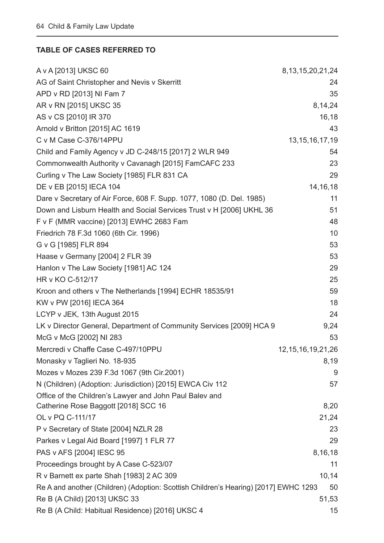#### <span id="page-64-0"></span>**TABLE OF CASES REFERRED TO**

| A v A [2013] UKSC 60                                                                 | 8, 13, 15, 20, 21, 24  |
|--------------------------------------------------------------------------------------|------------------------|
| AG of Saint Christopher and Nevis v Skerritt                                         | 24                     |
| APD v RD [2013] NI Fam 7                                                             | 35                     |
| AR v RN [2015] UKSC 35                                                               | 8,14,24                |
| AS v CS [2010] IR 370                                                                | 16,18                  |
| Arnold v Britton [2015] AC 1619                                                      | 43                     |
| C v M Case C-376/14PPU                                                               | 13, 15, 16, 17, 19     |
| Child and Family Agency v JD C-248/15 [2017] 2 WLR 949                               | 54                     |
| Commonwealth Authority v Cavanagh [2015] FamCAFC 233                                 | 23                     |
| Curling v The Law Society [1985] FLR 831 CA                                          | 29                     |
| DE v EB [2015] IECA 104                                                              | 14, 16, 18             |
| Dare v Secretary of Air Force, 608 F. Supp. 1077, 1080 (D. Del. 1985)                | 11                     |
| Down and Lisburn Health and Social Services Trust v H [2006] UKHL 36                 | 51                     |
| F v F (MMR vaccine) [2013] EWHC 2683 Fam                                             | 48                     |
| Friedrich 78 F.3d 1060 (6th Cir. 1996)                                               | 10                     |
| G v G [1985] FLR 894                                                                 | 53                     |
| Haase v Germany [2004] 2 FLR 39                                                      | 53                     |
| Hanlon v The Law Society [1981] AC 124                                               | 29                     |
| HR v KO C-512/17                                                                     | 25                     |
| Kroon and others v The Netherlands [1994] ECHR 18535/91                              | 59                     |
| KW v PW [2016] IECA 364                                                              | 18                     |
| LCYP v JEK, 13th August 2015                                                         | 24                     |
| LK v Director General, Department of Community Services [2009] HCA 9                 | 9,24                   |
| McG v McG [2002] NI 283                                                              | 53                     |
| Mercredi v Chaffe Case C-497/10PPU                                                   | 12, 15, 16, 19, 21, 26 |
| Monasky v Taglieri No. 18-935                                                        | 8,19                   |
| Mozes v Mozes 239 F.3d 1067 (9th Cir.2001)                                           | 9                      |
| N (Children) (Adoption: Jurisdiction) [2015] EWCA Civ 112                            | 57                     |
| Office of the Children's Lawyer and John Paul Balev and                              |                        |
| Catherine Rose Baggott [2018] SCC 16                                                 | 8,20                   |
| OL v PQ C-111/17                                                                     | 21,24                  |
| P v Secretary of State [2004] NZLR 28                                                | 23                     |
| Parkes v Legal Aid Board [1997] 1 FLR 77                                             | 29                     |
| PAS v AFS [2004] IESC 95                                                             | 8,16,18                |
| Proceedings brought by A Case C-523/07                                               | 11                     |
| R v Barnett ex parte Shah [1983] 2 AC 309                                            | 10,14                  |
| Re A and another (Children) (Adoption: Scottish Children's Hearing) [2017] EWHC 1293 | 50                     |
| Re B (A Child) [2013] UKSC 33                                                        | 51,53                  |
| Re B (A Child: Habitual Residence) [2016] UKSC 4                                     | 15                     |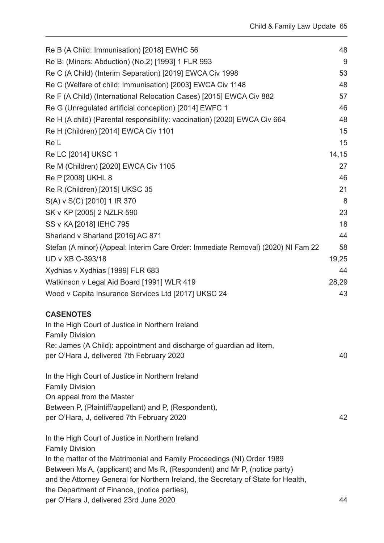| Re B (A Child: Immunisation) [2018] EWHC 56                                                                                                          | 48    |
|------------------------------------------------------------------------------------------------------------------------------------------------------|-------|
| Re B: (Minors: Abduction) (No.2) [1993] 1 FLR 993                                                                                                    | 9     |
| Re C (A Child) (Interim Separation) [2019] EWCA Civ 1998                                                                                             | 53    |
| Re C (Welfare of child: Immunisation) [2003] EWCA Civ 1148                                                                                           | 48    |
| Re F (A Child) (International Relocation Cases) [2015] EWCA Civ 882                                                                                  | 57    |
| Re G (Unregulated artificial conception) [2014] EWFC 1                                                                                               | 46    |
| Re H (A child) (Parental responsibility: vaccination) [2020] EWCA Civ 664                                                                            | 48    |
| Re H (Children) [2014] EWCA Civ 1101                                                                                                                 | 15    |
| Re L                                                                                                                                                 | 15    |
| Re LC [2014] UKSC 1                                                                                                                                  | 14,15 |
| Re M (Children) [2020] EWCA Civ 1105                                                                                                                 | 27    |
| Re P [2008] UKHL 8                                                                                                                                   | 46    |
| Re R (Children) [2015] UKSC 35                                                                                                                       | 21    |
| S(A) v S(C) [2010] 1 IR 370                                                                                                                          | 8     |
| SK v KP [2005] 2 NZLR 590                                                                                                                            | 23    |
| SS v KA [2018] IEHC 795                                                                                                                              | 18    |
| Sharland v Sharland [2016] AC 871                                                                                                                    | 44    |
| Stefan (A minor) (Appeal: Interim Care Order: Immediate Removal) (2020) NI Fam 22                                                                    | 58    |
| UD v XB C-393/18                                                                                                                                     | 19,25 |
| Xydhias v Xydhias [1999] FLR 683                                                                                                                     | 44    |
| Watkinson v Legal Aid Board [1991] WLR 419                                                                                                           | 28,29 |
| Wood v Capita Insurance Services Ltd [2017] UKSC 24                                                                                                  | 43    |
| <b>CASENOTES</b>                                                                                                                                     |       |
| In the High Court of Justice in Northern Ireland                                                                                                     |       |
| <b>Family Division</b>                                                                                                                               |       |
| Re: James (A Child): appointment and discharge of guardian ad litem,                                                                                 |       |
| per O'Hara J, delivered 7th February 2020                                                                                                            | 40    |
| In the High Court of Justice in Northern Ireland                                                                                                     |       |
| <b>Family Division</b>                                                                                                                               |       |
| On appeal from the Master                                                                                                                            |       |
| Between P, (Plaintiff/appellant) and P, (Respondent),<br>per O'Hara, J, delivered 7th February 2020                                                  | 42    |
|                                                                                                                                                      |       |
| In the High Court of Justice in Northern Ireland                                                                                                     |       |
| <b>Family Division</b>                                                                                                                               |       |
| In the matter of the Matrimonial and Family Proceedings (NI) Order 1989<br>Between Ms A, (applicant) and Ms R, (Respondent) and Mr P, (notice party) |       |
| and the Attorney General for Northern Ireland, the Secretary of State for Health,                                                                    |       |
| the Department of Finance, (notice parties),                                                                                                         |       |
| per O'Hara J, delivered 23rd June 2020                                                                                                               | 44    |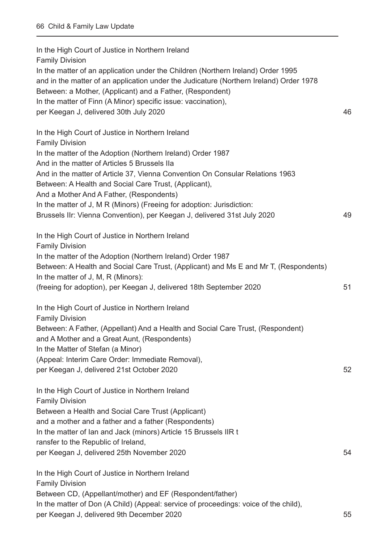In the High Court of Justice in Northern Ireland Family Division In the matter of an application under the Children (Northern Ireland) Order 1995 and in the matter of an application under the Judicature (Northern Ireland) Order 1978 Between: a Mother, (Applicant) and a Father, (Respondent) In the matter of Finn (A Minor) specific issue: vaccination), per Keegan J, delivered 30th July 2020 46 In the High Court of Justice in Northern Ireland Family Division In the matter of the Adoption (Northern Ireland) Order 1987 And in the matter of Articles 5 Brussels IIa And in the matter of Article 37, Vienna Convention On Consular Relations 1963 Between: A Health and Social Care Trust, (Applicant), And a Mother And A Father, (Respondents) In the matter of J, M R (Minors) (Freeing for adoption: Jurisdiction: Brussels IIr: Vienna Convention), per Keegan J, delivered 31st July 2020 49 In the High Court of Justice in Northern Ireland Family Division In the matter of the Adoption (Northern Ireland) Order 1987 Between: A Health and Social Care Trust, (Applicant) and Ms E and Mr T, (Respondents) In the matter of J, M, R (Minors): (freeing for adoption), per Keegan J, delivered 18th September 2020 51 In the High Court of Justice in Northern Ireland Family Division Between: A Father, (Appellant) And a Health and Social Care Trust, (Respondent) and A Mother and a Great Aunt, (Respondents) In the Matter of Stefan (a Minor) (Appeal: Interim Care Order: Immediate Removal), per Keegan J, delivered 21st October 2020 52 In the High Court of Justice in Northern Ireland Family Division Between a Health and Social Care Trust (Applicant) and a mother and a father and a father (Respondents) In the matter of Ian and Jack (minors) Article 15 Brussels IIR t ransfer to the Republic of Ireland, per Keegan J, delivered 25th November 2020 54 In the High Court of Justice in Northern Ireland Family Division Between CD, (Appellant/mother) and EF (Respondent/father) In the matter of Don (A Child) (Appeal: service of proceedings: voice of the child),

per Keegan J, delivered 9th December 2020 55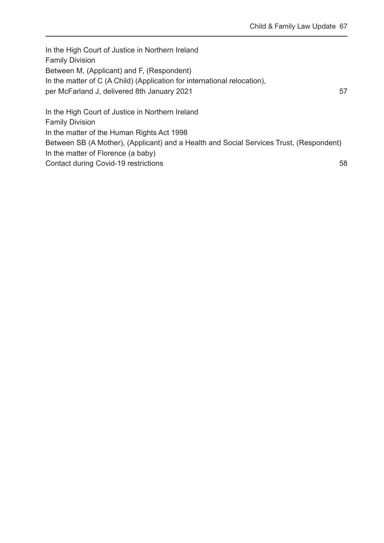In the High Court of Justice in Northern Ireland Family Division Between M, (Applicant) and F, (Respondent) In the matter of C (A Child) (Application for international relocation), per McFarland J, delivered 8th January 2021 57 In the High Court of Justice in Northern Ireland Family Division In the matter of the Human Rights Act 1998 Between SB (A Mother), (Applicant) and a Health and Social Services Trust, (Respondent) In the matter of Florence (a baby)

Contact during Covid-19 restrictions 58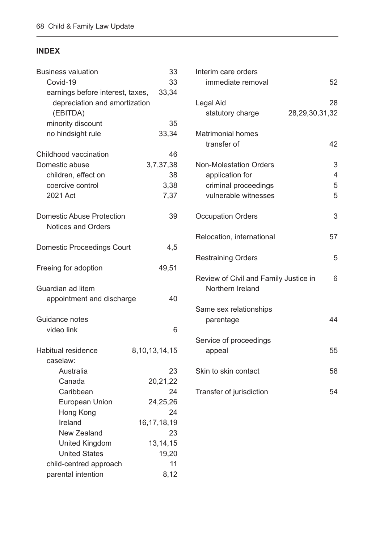### <span id="page-68-0"></span>**INDEX**

| <b>Business valuation</b>         | 33                | Interi |
|-----------------------------------|-------------------|--------|
| Covid-19                          | 33                | im     |
| earnings before interest, taxes,  | 33,34             |        |
| depreciation and amortization     |                   | Legal  |
| (EBITDA)                          |                   | sta    |
| minority discount                 | 35                |        |
| no hindsight rule                 | 33,34             | Matri  |
|                                   |                   | tra    |
| Childhood vaccination             | 46                |        |
| Domestic abuse                    | 3,7,37,38         | Non-l  |
| children, effect on               | 38                | ap     |
| coercive control                  | 3,38              | cri    |
| 2021 Act                          | 7,37              | vu     |
|                                   |                   |        |
| <b>Domestic Abuse Protection</b>  | 39                | Occu   |
| <b>Notices and Orders</b>         |                   |        |
|                                   |                   | Reloo  |
|                                   |                   |        |
| <b>Domestic Proceedings Court</b> | 4,5               |        |
|                                   |                   | Restr  |
| Freeing for adoption              | 49,51             |        |
|                                   |                   | Revie  |
| Guardian ad litem                 |                   | N      |
| appointment and discharge         | 40                |        |
|                                   |                   | Same   |
| Guidance notes                    |                   | pа     |
| video link                        | 6                 |        |
|                                   |                   | Servi  |
| <b>Habitual residence</b>         | 8, 10, 13, 14, 15 | ap     |
| caselaw:                          |                   |        |
| Australia                         | 23                | Skin 1 |
| Canada                            | 20,21,22          |        |
| Caribbean                         | 24                | Trans  |
| <b>European Union</b>             | 24,25,26          |        |
| Hong Kong                         | 24                |        |
| Ireland                           | 16, 17, 18, 19    |        |
| New Zealand                       | 23                |        |
| <b>United Kingdom</b>             | 13, 14, 15        |        |
| <b>United States</b>              | 19,20             |        |
| child-centred approach            | 11                |        |
| parental intention                | 8,12              |        |
|                                   |                   |        |
|                                   |                   |        |

| Interim care orders<br>immediate removal                                                         | 52                       |
|--------------------------------------------------------------------------------------------------|--------------------------|
| Legal Aid<br>statutory charge                                                                    | 28<br>28, 29, 30, 31, 32 |
| <b>Matrimonial homes</b><br>transfer of                                                          | 42                       |
| <b>Non-Molestation Orders</b><br>application for<br>criminal proceedings<br>vulnerable witnesses | 3<br>4<br>5<br>5         |
| <b>Occupation Orders</b>                                                                         | 3                        |
| Relocation, international                                                                        | 57                       |
| <b>Restraining Orders</b>                                                                        | 5                        |
| Review of Civil and Family Justice in<br>Northern Ireland                                        | 6                        |
| Same sex relationships<br>parentage                                                              | 44                       |
| Service of proceedings<br>appeal                                                                 | 55                       |
| Skin to skin contact                                                                             | 58                       |
| Transfer of jurisdiction                                                                         | 54                       |